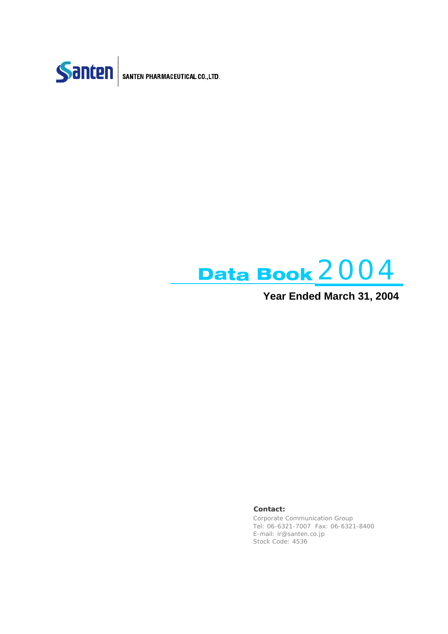



**Year Ended March 31, 2004**

**Contact:**

Corporate Communication Group Tel: 06-6321-7007 Fax: 06-6321-8400 E-mail: ir@santen.co.jp Stock Code: 4536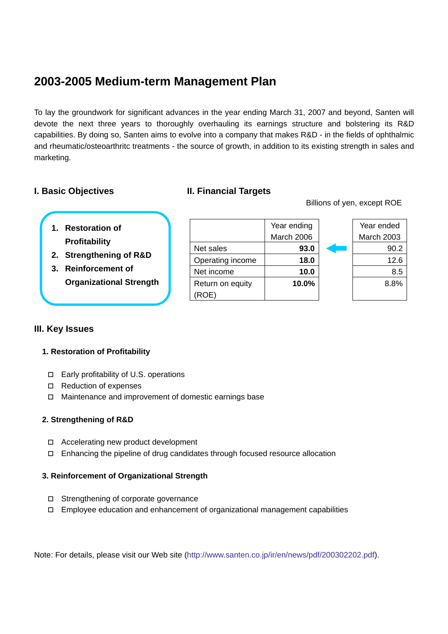# **2003-2005 Medium-term Management Plan**

To lay the groundwork for significant advances in the year ending March 31, 2007 and beyond, Santen will devote the next three years to thoroughly overhauling its earnings structure and bolstering its R&D capabilities. By doing so, Santen aims to evolve into a company that makes R&D - in the fields of ophthalmic and rheumatic/osteoarthritc treatments - the source of growth, in addition to its existing strength in sales and marketing.

## **I. Basic Objectives II. Financial Targets**

Billions of yen, except ROE

| 1. Restoration of    |
|----------------------|
| <b>Profitability</b> |

- **2. Strengthening of R&D**
- **3. Reinforcement of Organizational Strength**

|                  | Year ending | Year ended        |
|------------------|-------------|-------------------|
|                  | March 2006  | <b>March 2003</b> |
| Net sales        | 93.0        | 90.2              |
| Operating income | 18.0        | 12.6              |
| Net income       | 10.0        | 8.5               |
| Return on equity | 10.0%       | 8.8%              |
|                  |             |                   |
|                  |             |                   |

| nding | Year ended        |
|-------|-------------------|
| 2006  | <b>March 2003</b> |
| 93.0  | 90.2              |
| 18.0  | 12.6              |
| 10.0  | 8.5               |
| 10.0% | 8.8%              |
|       |                   |

### **III. Key Issues**

### **1. Restoration of Profitability**

- Early profitability of U.S. operations
- □ Reduction of expenses
- □ Maintenance and improvement of domestic earnings base

### **2. Strengthening of R&D**

- □ Accelerating new product development
- $\Box$  Enhancing the pipeline of drug candidates through focused resource allocation

### **3. Reinforcement of Organizational Strength**

- □ Strengthening of corporate governance
- $\Box$  Employee education and enhancement of organizational management capabilities

Note: For details, please visit our Web site (http://www.santen.co.jp/ir/en/news/pdf/200302202.pdf).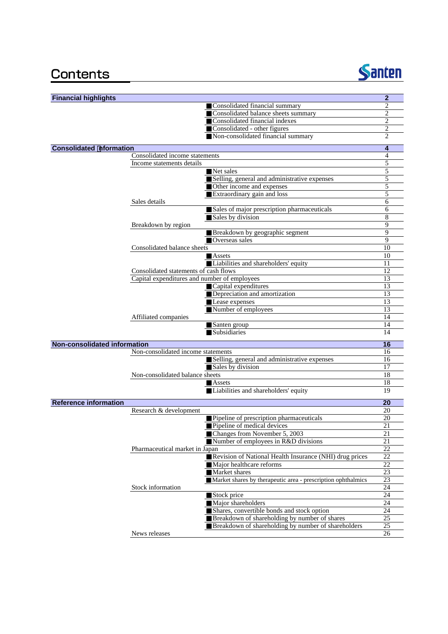# Contents



| <b>Financial highlights</b>         |                                              |                                                              | $\overline{2}$ |
|-------------------------------------|----------------------------------------------|--------------------------------------------------------------|----------------|
|                                     |                                              | Consolidated financial summary                               | 2              |
|                                     |                                              | Consolidated balance sheets summary                          | $\overline{2}$ |
|                                     |                                              | Consolidated financial indexes                               | $\overline{c}$ |
|                                     |                                              | Consolidated - other figures                                 | $\overline{2}$ |
|                                     |                                              | Non-consolidated financial summary                           | 2              |
| <b>Consolidated nformation</b>      |                                              |                                                              | 4              |
|                                     | Consolidated income statements               |                                                              | $\overline{4}$ |
|                                     | Income statements details                    |                                                              | 5              |
|                                     |                                              | Net sales                                                    | 5              |
|                                     |                                              | Selling, general and administrative expenses                 | 5              |
|                                     |                                              | Other income and expenses                                    | 5              |
|                                     |                                              | Extraordinary gain and loss                                  | 5              |
|                                     | Sales details                                |                                                              | 6              |
|                                     |                                              |                                                              |                |
|                                     |                                              | Sales of major prescription pharmaceuticals                  | 6              |
|                                     |                                              | Sales by division                                            | 8              |
|                                     | Breakdown by region                          |                                                              | $\mathbf Q$    |
|                                     |                                              | Breakdown by geographic segment                              | 9              |
|                                     |                                              | Overseas sales                                               | 9              |
|                                     | Consolidated balance sheets                  |                                                              | 10             |
|                                     |                                              | Assets                                                       | 10             |
|                                     |                                              | Liabilities and shareholders' equity                         | 11             |
|                                     | Consolidated statements of cash flows        |                                                              | 12             |
|                                     | Capital expenditures and number of employees |                                                              | 13             |
|                                     |                                              | Capital expenditures                                         | 13             |
|                                     |                                              |                                                              |                |
|                                     |                                              | Depreciation and amortization                                | 13             |
|                                     |                                              | Lease expenses                                               | 13             |
|                                     |                                              | Number of employees                                          | 13             |
|                                     | Affiliated companies                         |                                                              | 14             |
|                                     |                                              | Santen group                                                 | 14             |
|                                     |                                              | Subsidiaries                                                 | 14             |
| <b>Non-consolidated information</b> |                                              |                                                              | 16             |
|                                     | Non-consolidated income statements           |                                                              | 16             |
|                                     |                                              | Selling, general and administrative expenses                 | 16             |
|                                     |                                              | Sales by division                                            | 17             |
|                                     | Non-consolidated balance sheets              |                                                              | 18             |
|                                     |                                              | Assets                                                       | 18             |
|                                     |                                              |                                                              | 19             |
|                                     |                                              | Liabilities and shareholders' equity                         |                |
| <b>Reference information</b>        |                                              |                                                              | 20             |
|                                     | Research & development                       |                                                              | 20             |
|                                     |                                              | Pipeline of prescription pharmaceuticals                     | 20             |
|                                     |                                              | Pipeline of medical devices                                  | 21             |
|                                     |                                              | Changes from November 5, 2003                                | 21             |
|                                     |                                              | Number of employees in R&D divisions                         | 21             |
|                                     | Pharmaceutical market in Japan               |                                                              | 22             |
|                                     |                                              | Revision of National Health Insurance (NHI) drug prices      | 22             |
|                                     |                                              |                                                              |                |
|                                     |                                              | Major healthcare reforms                                     | 22             |
|                                     |                                              | Market shares                                                | 23             |
|                                     |                                              | Market shares by therapeutic area - prescription ophthalmics | 23             |
|                                     | Stock information                            |                                                              | 24             |
|                                     |                                              | Stock price                                                  | 24             |
|                                     |                                              | Major shareholders                                           | 24             |
|                                     |                                              | Shares, convertible bonds and stock option                   | 24             |
|                                     |                                              | Breakdown of shareholding by number of shares                | 25             |
|                                     |                                              | Breakdown of shareholding by number of shareholders          | 25             |
|                                     |                                              |                                                              |                |
|                                     | News releases                                |                                                              | 26             |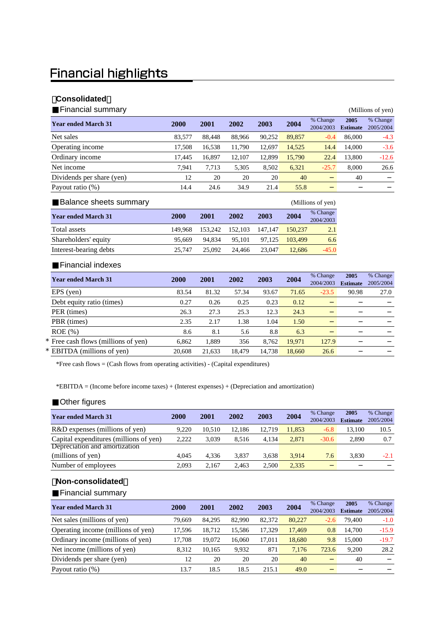# **Financial highlights**

### 【**Consolidated**】

| <b>Financial summary</b>   |        |        |        |        |        |                       |                         | (Millions of yen)     |
|----------------------------|--------|--------|--------|--------|--------|-----------------------|-------------------------|-----------------------|
| <b>Year ended March 31</b> | 2000   | 2001   | 2002   | 2003   | 2004   | % Change<br>2004/2003 | 2005<br><b>Estimate</b> | % Change<br>2005/2004 |
| Net sales                  | 83,577 | 88.448 | 88,966 | 90,252 | 89,857 | $-0.4$                | 86,000                  | $-4.3$                |
| Operating income           | 17.508 | 16,538 | 11,790 | 12.697 | 14,525 | 14.4                  | 14,000                  | $-3.6$                |
| Ordinary income            | 17.445 | 16,897 | 12,107 | 12,899 | 15,790 | 22.4                  | 13,800                  | $-12.6$               |
| Net income                 | 7.941  | 7,713  | 5,305  | 8,502  | 6,321  | $-25.7$               | 8,000                   | 26.6                  |
| Dividends per share (yen)  | 12     | 20     | 20     | 20     | 40     |                       | 40                      |                       |
| Payout ratio (%)           | 14.4   | 24.6   | 34.9   | 21.4   | 55.8   |                       |                         |                       |

| Balance sheets summary     |         |         |         |         |         | (Millions of yen)     |
|----------------------------|---------|---------|---------|---------|---------|-----------------------|
| <b>Year ended March 31</b> | 2000    | 2001    | 2002    | 2003    | 2004    | % Change<br>2004/2003 |
| Total assets               | 149.968 | 153.242 | 152,103 | 147.147 | 150.237 | 2.1                   |
| Shareholders' equity       | 95.669  | 94.834  | 95.101  | 97.125  | 103.499 | 6.6                   |
| Interest-bearing debts     | 25.747  | 25.092  | 24.466  | 23,047  | 12.686  | $-45.0$               |

#### Financial indexes

| <b>Year ended March 31</b>          | 2000   | 2001   | 2002   | 2003   | 2004   | % Change<br>2004/2003 | 2005<br><b>Estimate</b> | % Change<br>2005/2004 |
|-------------------------------------|--------|--------|--------|--------|--------|-----------------------|-------------------------|-----------------------|
| EPS (yen)                           | 83.54  | 81.32  | 57.34  | 93.67  | 71.65  | $-23.5$               | 90.98                   | 27.0                  |
| Debt equity ratio (times)           | 0.27   | 0.26   | 0.25   | 0.23   | 0.12   |                       |                         |                       |
| PER (times)                         | 26.3   | 27.3   | 25.3   | 12.3   | 24.3   |                       |                         |                       |
| PBR (times)                         | 2.35   | 2.17   | 1.38   | 1.04   | 1.50   |                       |                         |                       |
| $ROE$ $(\%)$                        | 8.6    | 8.1    | 5.6    | 8.8    | 6.3    |                       |                         |                       |
| * Free cash flows (millions of yen) | 6.862  | 1,889  | 356    | 8.762  | 19,971 | 127.9                 |                         |                       |
| * EBITDA (millions of yen)          | 20,608 | 21,633 | 18.479 | 14.738 | 18.660 | 26.6                  |                         |                       |

\*Free cash flows = (Cash flows from operating activities) - (Capital expenditures)

\*EBITDA = (Income before income taxes) + (Interest expenses) + (Depreciation and amortization)

### Other figures

| <b>Year ended March 31</b>             | <b>2000</b> | 2001   | 2002   | 2003   | 2004   | % Change<br>2004/2003 | 2005<br><b>Estimate</b> | % Change<br>2005/2004 |
|----------------------------------------|-------------|--------|--------|--------|--------|-----------------------|-------------------------|-----------------------|
| R&D expenses (millions of yen)         | 9.220       | 10.510 | 12.186 | 12.719 | 11.853 | $-6.8$                | 13.100                  | 10.5                  |
| Capital expenditures (millions of yen) | 2,222       | 3.039  | 8.516  | 4.134  | 2.871  | $-30.6$               | 2.890                   | 0.7                   |
| Depreciation and amortization          |             |        |        |        |        |                       |                         |                       |
| (millions of yen)                      | 4.045       | 4.336  | 3.837  | 3.638  | 3.914  | 7.6                   | 3.830                   | $-2.1$                |
| Number of employees                    | 2.093       | 2.167  | 2.463  | 2.500  | 2,335  |                       |                         |                       |

### 【**Non-consolidated**】

Financial summary

| <b>Year ended March 31</b>         | <b>2000</b> | 2001   | 2002   | 2003   | 2004   | % Change<br>2004/2003 | 2005<br><b>Estimate</b> | % Change<br>2005/2004 |
|------------------------------------|-------------|--------|--------|--------|--------|-----------------------|-------------------------|-----------------------|
| Net sales (millions of yen)        | 79.669      | 84.295 | 82,990 | 82,372 | 80,227 | $-2.6$                | 79,400                  | $-1.0$                |
| Operating income (millions of yen) | 17.596      | 18.712 | 15.586 | 17.329 | 17,469 | 0.8                   | 14.700                  | $-15.9$               |
| Ordinary income (millions of yen)  | 17.708      | 19.072 | 16.060 | 17.011 | 18,680 | 9.8                   | 15,000                  | $-19.7$               |
| Net income (millions of yen)       | 8.312       | 10.165 | 9.932  | 871    | 7.176  | 723.6                 | 9.200                   | 28.2                  |
| Dividends per share (yen)          | 12          | 20     | 20     | 20     | 40     |                       | 40                      |                       |
| Payout ratio (%)                   | 13.7        | 18.5   | 18.5   | 215.1  | 49.0   |                       |                         |                       |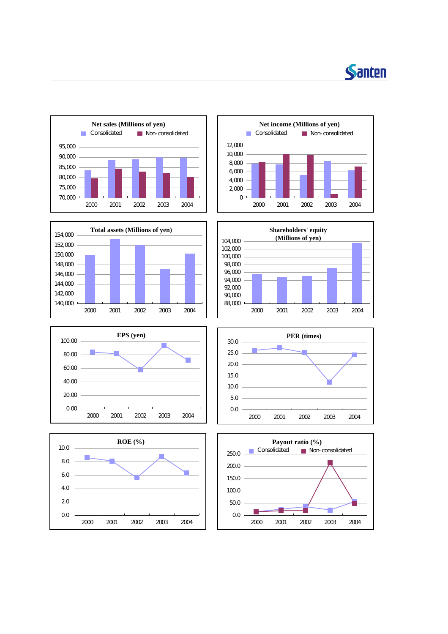















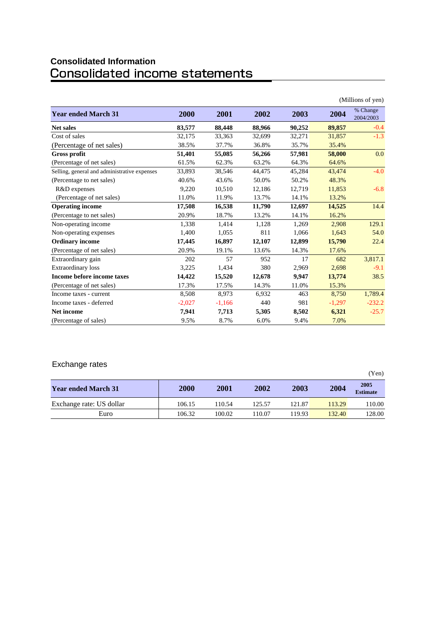# **Consolidated Information**

|                                              |          |          |        |        |          | (Millions of yen)     |
|----------------------------------------------|----------|----------|--------|--------|----------|-----------------------|
| <b>Year ended March 31</b>                   | 2000     | 2001     | 2002   | 2003   | 2004     | % Change<br>2004/2003 |
| <b>Net sales</b>                             | 83,577   | 88,448   | 88,966 | 90,252 | 89,857   | $-0.4$                |
| Cost of sales                                | 32,175   | 33,363   | 32,699 | 32,271 | 31,857   | $-1.3$                |
| (Percentage of net sales)                    | 38.5%    | 37.7%    | 36.8%  | 35.7%  | 35.4%    |                       |
| Gross profit                                 | 51,401   | 55,085   | 56,266 | 57,981 | 58,000   | 0.0                   |
| (Percentage of net sales)                    | 61.5%    | 62.3%    | 63.2%  | 64.3%  | 64.6%    |                       |
| Selling, general and administrative expenses | 33,893   | 38,546   | 44,475 | 45,284 | 43,474   | $-4.0$                |
| (Percentage to net sales)                    | 40.6%    | 43.6%    | 50.0%  | 50.2%  | 48.3%    |                       |
| R&D expenses                                 | 9,220    | 10,510   | 12,186 | 12,719 | 11,853   | $-6.8$                |
| (Percentage of net sales)                    | 11.0%    | 11.9%    | 13.7%  | 14.1%  | 13.2%    |                       |
| <b>Operating income</b>                      | 17,508   | 16,538   | 11,790 | 12,697 | 14,525   | 14.4                  |
| (Percentage to net sales)                    | 20.9%    | 18.7%    | 13.2%  | 14.1%  | 16.2%    |                       |
| Non-operating income                         | 1,338    | 1,414    | 1,128  | 1,269  | 2,908    | 129.1                 |
| Non-operating expenses                       | 1,400    | 1,055    | 811    | 1,066  | 1,643    | 54.0                  |
| <b>Ordinary income</b>                       | 17,445   | 16,897   | 12,107 | 12,899 | 15,790   | 22.4                  |
| (Percentage of net sales)                    | 20.9%    | 19.1%    | 13.6%  | 14.3%  | 17.6%    |                       |
| Extraordinary gain                           | 202      | 57       | 952    | 17     | 682      | 3,817.1               |
| <b>Extraordinary loss</b>                    | 3,225    | 1,434    | 380    | 2,969  | 2,698    | $-9.1$                |
| Income before income taxes                   | 14,422   | 15,520   | 12,678 | 9.947  | 13,774   | 38.5                  |
| (Percentage of net sales)                    | 17.3%    | 17.5%    | 14.3%  | 11.0%  | 15.3%    |                       |
| Income taxes - current                       | 8,508    | 8,973    | 6,932  | 463    | 8,750    | 1,789.4               |
| Income taxes - deferred                      | $-2,027$ | $-1,166$ | 440    | 981    | $-1,297$ | $-232.2$              |
| <b>Net income</b>                            | 7,941    | 7,713    | 5,305  | 8,502  | 6,321    | $-25.7$               |
| (Percentage of sales)                        | 9.5%     | 8.7%     | 6.0%   | 9.4%   | 7.0%     |                       |

## Exchange rates

| -                          |        |        |        |        |        | (Yen)                   |
|----------------------------|--------|--------|--------|--------|--------|-------------------------|
| <b>Year ended March 31</b> | 2000   | 2001   | 2002   | 2003   | 2004   | 2005<br><b>Estimate</b> |
| Exchange rate: US dollar   | 106.15 | 110.54 | 125.57 | 121.87 | 113.29 | 110.00                  |
| Euro                       | 106.32 | 100.02 | 110.07 | 119.93 | 132.40 | 128.00                  |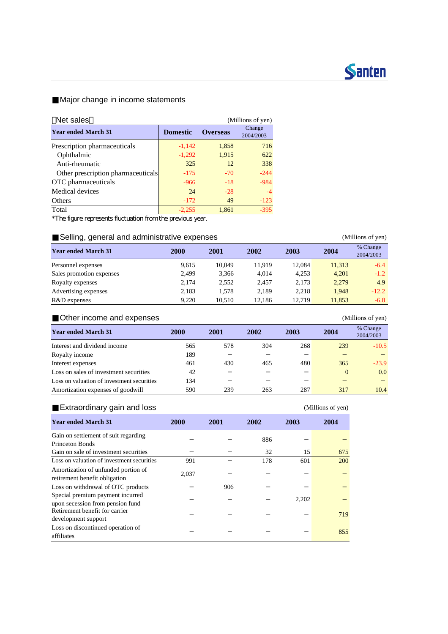

## Major change in income statements

| Net sales                          |                 |                 | (Millions of yen)   |
|------------------------------------|-----------------|-----------------|---------------------|
| <b>Year ended March 31</b>         | <b>Domestic</b> | <b>Overseas</b> | Change<br>2004/2003 |
| Prescription pharmaceuticals       | $-1,142$        | 1,858           | 716                 |
| Ophthalmic                         | $-1,292$        | 1,915           | 622                 |
| Anti-rheumatic                     | 325             | 12              | 338                 |
| Other prescription pharmaceuticals | $-175$          | $-70$           | $-244$              |
| OTC pharmaceuticals                | $-966$          | $-18$           | $-984$              |
| Medical devices                    | 24              | $-28$           | $-4$                |
| <b>Others</b>                      | $-172$          | 49              | $-123$              |
| Total                              | $-2,255$        | 1,861           | $-395$              |

\*The figure represents fluctuation from the previous year.

### Selling, general and administrative expenses (Millions of yen)

| <b>Year ended March 31</b> | 2000  | 2001   | 2002   | 2003   | 2004   | % Change<br>2004/2003 |
|----------------------------|-------|--------|--------|--------|--------|-----------------------|
| Personnel expenses         | 9.615 | 10.049 | 11.919 | 12.084 | 11.313 | $-6.4$                |
| Sales promotion expenses   | 2.499 | 3,366  | 4.014  | 4.253  | 4.201  | $-1.2$                |
| Royalty expenses           | 2.174 | 2.552  | 2.457  | 2.173  | 2,279  | 4.9                   |
| Advertising expenses       | 2.183 | 1.578  | 2.189  | 2.218  | 1.948  | $-12.2$               |
| R&D expenses               | 9.220 | 10.510 | 12.186 | 12.719 | 11.853 | $-6.8$                |

### Other income and expenses (Millions of yen)

| <b>Year ended March 31</b>                 | 2000 | 2001 | 2002 | 2003 | 2004     | % Change<br>2004/2003 |
|--------------------------------------------|------|------|------|------|----------|-----------------------|
| Interest and dividend income               | 565  | 578  | 304  | 268  | 239      | $-10.5$               |
| Royalty income                             | 189  |      |      |      |          |                       |
| Interest expenses                          | 461  | 430  | 465  | 480  | 365      | $-23.9$               |
| Loss on sales of investment securities     | 42   |      |      |      | $\theta$ | 0.0                   |
| Loss on valuation of investment securities | 134  |      |      |      |          |                       |
| Amortization expenses of goodwill          | 590  | 239  | 263  | 287  | 317      | 10.4                  |

### Extraordinary gain and loss (Millions of yen)

| <b>Year ended March 31</b>                 | 2000  | 2001 | 2002 | 2003  | 2004 |
|--------------------------------------------|-------|------|------|-------|------|
| Gain on settlement of suit regarding       |       |      | 886  |       |      |
| <b>Princeton Bonds</b>                     |       |      |      |       |      |
| Gain on sale of investment securities      |       |      | 32   | 15    | 675  |
| Loss on valuation of investment securities | 991   |      | 178  | 601   | 200  |
| Amortization of unfunded portion of        |       |      |      |       |      |
| retirement benefit obligation              | 2,037 |      |      |       |      |
| Loss on withdrawal of OTC products         |       | 906  |      |       |      |
| Special premium payment incurred           |       |      |      |       |      |
| upon secession from pension fund           |       |      |      | 2.202 |      |
| Retirement benefit for carrier             |       |      |      |       | 719  |
| development support                        |       |      |      |       |      |
| Loss on discontinued operation of          |       |      |      |       | 855  |
| affiliates                                 |       |      |      |       |      |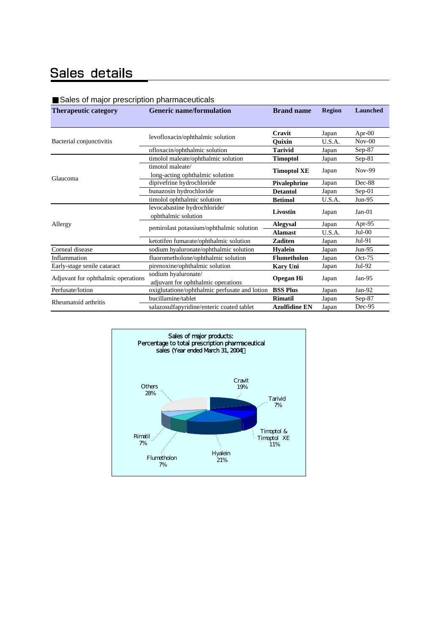# Sales details

| <u>Calco of major prosomption pharmaceationic</u><br><b>Therapeutic category</b> | <b>Generic name/formulation</b>               | <b>Brand name</b>    | <b>Region</b> | <b>Launched</b> |  |
|----------------------------------------------------------------------------------|-----------------------------------------------|----------------------|---------------|-----------------|--|
|                                                                                  |                                               |                      |               |                 |  |
|                                                                                  | levofloxacin/ophthalmic solution              | Cravit               | Japan         | Apr- $00$       |  |
| Bacterial conjunctivitis                                                         |                                               | <b>Ouixin</b>        | U.S.A.        | $Nov-00$        |  |
|                                                                                  | ofloxacin/ophthalmic solution                 | <b>Tarivid</b>       | Japan         | Sep-87          |  |
|                                                                                  | timolol maleate/ophthalmic solution           | <b>Timoptol</b>      | Japan         | $Sep-81$        |  |
|                                                                                  | timotol maleate/                              | <b>Timoptol XE</b>   | Japan         | Nov-99          |  |
| Glaucoma                                                                         | long-acting ophthalmic solution               |                      |               |                 |  |
|                                                                                  | dipivefrine hydrochloride                     | Pivalephrine         | Japan         | Dec-88          |  |
|                                                                                  | bunazosin hydrochloride                       | <b>Detantol</b>      | Japan         | $Sep-01$        |  |
|                                                                                  | timolol ophthalmic solution                   | <b>Betimol</b>       | U.S.A.        | Jun-95          |  |
|                                                                                  | levocabastine hydrochloride/                  | Livostin             |               | $Jan-01$        |  |
|                                                                                  | ophthalmic solution                           |                      | Japan         |                 |  |
| Allergy                                                                          | pemirolast potassium/ophthalmic solution      | <b>Alegysal</b>      | Japan         | Apr-95          |  |
|                                                                                  |                                               | <b>Alamast</b>       | U.S.A.        | $Jul-00$        |  |
|                                                                                  | ketotifen fumarate/ophthalmic solution        | <b>Zaditen</b>       | Japan         | Jul-91          |  |
| Corneal disease                                                                  | sodium hyaluronate/ophthalmic solution        | <b>Hyalein</b>       | Japan         | $Jun-95$        |  |
| Inflammation                                                                     | fluorometholone/ophthalmic solution           | <b>Flumetholon</b>   | Japan         | $Oct-75$        |  |
| Early-stage senile cataract                                                      | pirenoxine/ophthalmic solution                | <b>Kary Uni</b>      | Japan         | Jul-92          |  |
| Adjuvant for ophthalmic operations                                               | sodium hyaluronate/                           |                      |               |                 |  |
|                                                                                  | adjuvant for ophthalmic operations            | <b>Opegan Hi</b>     | Japan         | Jan- $95$       |  |
| Perfusate/lotion                                                                 | oxiglutatione/ophthalmic perfusate and lotion | <b>BSS Plus</b>      | Japan         | Jan-92          |  |
| Rheumatoid arthritis                                                             | bucillamine/tablet                            | <b>Rimatil</b>       | Japan         | $Sep-87$        |  |
|                                                                                  | salazosulfapyridine/enteric coated tablet     | <b>Azulfidine EN</b> | Japan         | Dec-95          |  |

#### Sales of major prescription pharmaceuticals

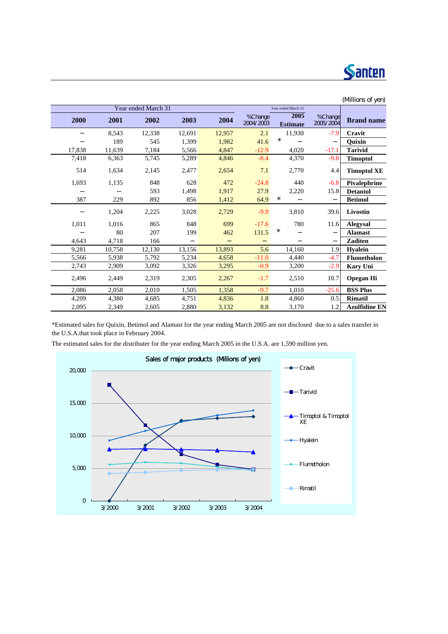

| (Millions of yen)    |                      |                         |                      |        |        |                     |        |        |
|----------------------|----------------------|-------------------------|----------------------|--------|--------|---------------------|--------|--------|
|                      |                      | Year ended March 31     |                      |        |        | Year ended March 31 |        |        |
| <b>Brand name</b>    | %Change<br>2005/2004 | 2005<br><b>Estimate</b> | %Change<br>2004/2003 | 2004   | 2003   | 2002                | 2001   | 2000   |
| Cravit               | $-7.9$               | 11,930                  | 2.1                  | 12,957 | 12,691 | 12,338              | 8,543  |        |
| Quixin               |                      | $\star$                 | 41.6                 | 1,982  | 1,399  | 545                 | 189    |        |
| <b>Tarivid</b>       | $-17.1$              | 4,020                   | $-12.9$              | 4,847  | 5,566  | 7,184               | 11,639 | 17,838 |
| <b>Timoptol</b>      | $-9.8$               | 4,370                   | $-8.4$               | 4,846  | 5,289  | 5,745               | 6,363  | 7,418  |
| <b>Timoptol XE</b>   | 4.4                  | 2,770                   | 7.1                  | 2,654  | 2,477  | 2,145               | 1,634  | 514    |
| Pivalephrine         | $-6.8$               | 440                     | $-24.8$              | 472    | 628    | 848                 | 1,135  | 1,693  |
| <b>Detantol</b>      | 15.8                 | 2,220                   | 27.9                 | 1,917  | 1,498  | 593                 |        |        |
| <b>Betimol</b>       |                      | $^\star$                | 64.9                 | 1,412  | 856    | 892                 | 229    | 387    |
| Livostin             | 39.6                 | 3,810                   | $-9.9$               | 2,729  | 3,028  | 2,225               | 1,204  |        |
| <b>Alegysal</b>      | 11.6                 | 780                     | $-17.6$              | 699    | 848    | 865                 | 1,016  | 1,011  |
| <b>Alamast</b>       |                      | $^\star$                | 131.5                | 462    | 199    | 207                 | 80     |        |
| <b>Zaditen</b>       |                      |                         |                      |        |        | 166                 | 4,718  | 4,643  |
| <b>H</b> valein      | 1.9                  | 14,160                  | 5.6                  | 13,893 | 13,156 | 12,130              | 10,758 | 9,281  |
| <b>Flumetholon</b>   | $-4.7$               | 4,440                   | $-11.0$              | 4,658  | 5,234  | 5,792               | 5,938  | 5,566  |
| <b>Kary Uni</b>      | $-2.9$               | 3,200                   | $-0.9$               | 3,295  | 3,326  | 3,092               | 2,909  | 2,743  |
| <b>Opegan Hi</b>     | 10.7                 | 2,510                   | $-1.7$               | 2,267  | 2,305  | 2,319               | 2,449  | 2,496  |
| <b>BSS Plus</b>      | $-25.6$              | 1,010                   | $-9.7$               | 1,358  | 1,505  | 2,010               | 2,058  | 2,086  |
| <b>Rimatil</b>       | 0.5                  | 4,860                   | 1.8                  | 4,836  | 4,751  | 4,685               | 4,380  | 4,209  |
| <b>Azulfidine EN</b> | 1.2                  | 3,170                   | 8.8                  | 3,132  | 2,880  | 2,605               | 2,349  | 2,095  |

\*Estimated sales for Quixin, Betimol and Alamast for the year ending March 2005 are not disclosed due to a sales transfer in the U.S.A.that took place in February 2004.

The estimated sales for the distributer for the year ending March 2005 in the U.S.A. are 1,590 million yen.

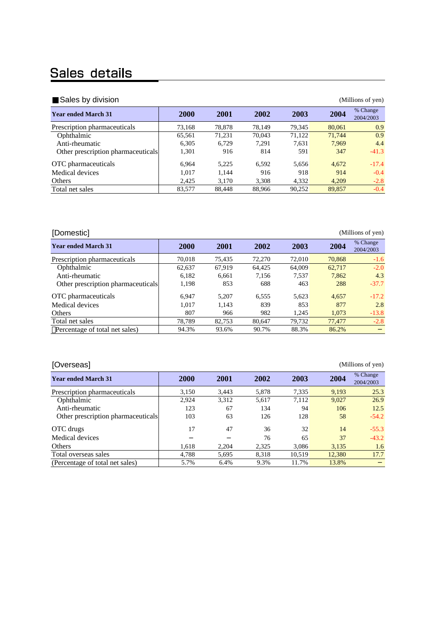# Sales details

| Sales by division                  |             |             |        |        |        | (Millions of yen)     |
|------------------------------------|-------------|-------------|--------|--------|--------|-----------------------|
| <b>Year ended March 31</b>         | <b>2000</b> | <b>2001</b> | 2002   | 2003   | 2004   | % Change<br>2004/2003 |
| Prescription pharmaceuticals       | 73,168      | 78,878      | 78.149 | 79.345 | 80,061 | 0.9                   |
| Ophthalmic                         | 65,561      | 71.231      | 70.043 | 71.122 | 71,744 | 0.9                   |
| Anti-rheumatic                     | 6.305       | 6.729       | 7.291  | 7.631  | 7.969  | 4.4                   |
| Other prescription pharmaceuticals | 1,301       | 916         | 814    | 591    | 347    | $-41.3$               |
| OTC pharmaceuticals                | 6.964       | 5.225       | 6.592  | 5.656  | 4.672  | $-17.4$               |
| Medical devices                    | 1.017       | 1,144       | 916    | 918    | 914    | $-0.4$                |
| Others                             | 2.425       | 3.170       | 3,308  | 4,332  | 4.209  | $-2.8$                |
| Total net sales                    | 83,577      | 88,448      | 88,966 | 90,252 | 89,857 | $-0.4$                |

| [Domestic]                         |             |        |        |        |        | (Millions of yen)     |
|------------------------------------|-------------|--------|--------|--------|--------|-----------------------|
| <b>Year ended March 31</b>         | <b>2000</b> | 2001   | 2002   | 2003   | 2004   | % Change<br>2004/2003 |
| Prescription pharmaceuticals       | 70,018      | 75.435 | 72,270 | 72,010 | 70.868 | $-1.6$                |
| Ophthalmic                         | 62,637      | 67.919 | 64,425 | 64,009 | 62,717 | $-2.0$                |
| Anti-rheumatic                     | 6,182       | 6,661  | 7.156  | 7.537  | 7.862  | 4.3                   |
| Other prescription pharmaceuticals | 1,198       | 853    | 688    | 463    | 288    | $-37.7$               |
| OTC pharmaceuticals                | 6.947       | 5.207  | 6.555  | 5.623  | 4.657  | $-17.2$               |
| Medical devices                    | 1.017       | 1.143  | 839    | 853    | 877    | 2.8                   |
| Others                             | 807         | 966    | 982    | 1.245  | 1.073  | $-13.8$               |
| Total net sales                    | 78.789      | 82.753 | 80.647 | 79.732 | 77,477 | $-2.8$                |
| Percentage of total net sales)     | 94.3%       | 93.6%  | 90.7%  | 88.3%  | 86.2%  |                       |

| [Overseas]<br>(Millions of yen)    |             |       |       |        |        |                       |  |  |  |
|------------------------------------|-------------|-------|-------|--------|--------|-----------------------|--|--|--|
| <b>Year ended March 31</b>         | <b>2000</b> | 2001  | 2002  | 2003   | 2004   | % Change<br>2004/2003 |  |  |  |
| Prescription pharmaceuticals       | 3.150       | 3.443 | 5.878 | 7.335  | 9.193  | 25.3                  |  |  |  |
| Ophthalmic                         | 2.924       | 3,312 | 5,617 | 7.112  | 9.027  | 26.9                  |  |  |  |
| Anti-rheumatic                     | 123         | 67    | 134   | 94     | 106    | 12.5                  |  |  |  |
| Other prescription pharmaceuticals | 103         | 63    | 126   | 128    | 58     | $-54.2$               |  |  |  |
| OTC drugs                          | 17          | 47    | 36    | 32     | 14     | $-55.3$               |  |  |  |
| Medical devices                    |             |       | 76    | 65     | 37     | $-43.2$               |  |  |  |
| Others                             | 1.618       | 2.204 | 2.325 | 3.086  | 3.135  | 1.6                   |  |  |  |
| Total overseas sales               | 4.788       | 5,695 | 8.318 | 10.519 | 12,380 | 17.7                  |  |  |  |
| (Percentage of total net sales)    | 5.7%        | 6.4%  | 9.3%  | 11.7%  | 13.8%  |                       |  |  |  |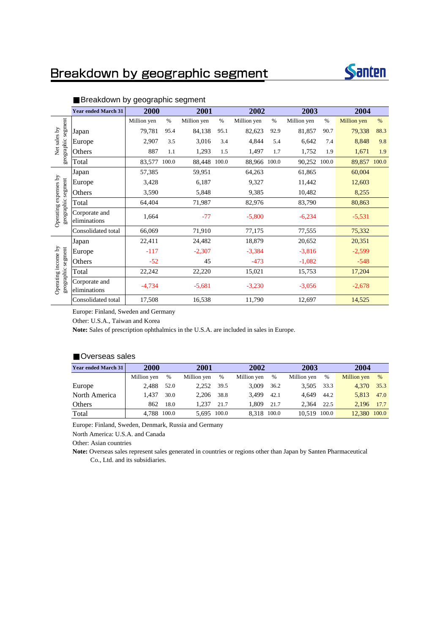# Breakdown by geographic segment



|                                             | <b>Year ended March 31</b>    | 2000        |       | 2001        |       | 2002         |      | 2003        |       | 2004               |       |
|---------------------------------------------|-------------------------------|-------------|-------|-------------|-------|--------------|------|-------------|-------|--------------------|-------|
|                                             |                               | Million yen | $\%$  | Million yen | $\%$  | Million yen  | $\%$ | Million yen | $\%$  | <b>Million</b> yen | %     |
|                                             | Japan                         | 79,781      | 95.4  | 84,138      | 95.1  | 82,623       | 92.9 | 81,857      | 90.7  | 79,338             | 88.3  |
| Net sales by                                | Europe                        | 2,907       | 3.5   | 3,016       | 3.4   | 4,844        | 5.4  | 6,642       | 7.4   | 8,848              | 9.8   |
| geographic segment                          | Others                        | 887         | 1.1   | 1,293       | 1.5   | 1,497        | 1.7  | 1,752       | 1.9   | 1,671              | 1.9   |
|                                             | Total                         | 83,577      | 100.0 | 88,448      | 100.0 | 88,966 100.0 |      | 90,252      | 100.0 | 89,857             | 100.0 |
|                                             | Japan                         | 57,385      |       | 59,951      |       | 64,263       |      | 61,865      |       | 60,004             |       |
|                                             | Europe                        | 3,428       |       | 6,187       |       | 9,327        |      | 11,442      |       | 12,603             |       |
|                                             | Others                        | 3,590       |       | 5,848       |       | 9,385        |      | 10,482      |       | 8,255              |       |
|                                             | Total                         | 64,404      |       | 71,987      |       | 82,976       |      | 83,790      |       | 80,863             |       |
| Operating expenses by<br>geographic segment | Corporate and<br>eliminations | 1,664       |       | $-77$       |       | $-5,800$     |      | $-6,234$    |       | $-5,531$           |       |
|                                             | Consolidated total            | 66,069      |       | 71,910      |       | 77,175       |      | 77,555      |       | 75,332             |       |
|                                             | Japan                         | 22,411      |       | 24,482      |       | 18,879       |      | 20,652      |       | 20,351             |       |
|                                             | Europe                        | $-117$      |       | $-2,307$    |       | $-3,384$     |      | $-3,816$    |       | $-2,599$           |       |
|                                             | Others                        | $-52$       |       | 45          |       | $-473$       |      | $-1,082$    |       | $-548$             |       |
|                                             | Total                         | 22,242      |       | 22,220      |       | 15,021       |      | 15,753      |       | 17,204             |       |
| Operating income by<br>geographic segment   | Corporate and<br>eliminations | $-4,734$    |       | $-5,681$    |       | $-3,230$     |      | $-3,056$    |       | $-2,678$           |       |
|                                             | Consolidated total            | 17,508      |       | 16,538      |       | 11,790       |      | 12,697      |       | 14,525             |       |

#### Breakdown by geographic segment

Europe: Finland, Sweden and Germany

Other: U.S.A., Taiwan and Korea

**Note:** Sales of prescription ophthalmics in the U.S.A. are included in sales in Europe.

#### Overseas sales

| Year ended March 31 | <b>2000</b> |      | 2001        |      |             | 2002        |              | 2003 | 2004         |      |
|---------------------|-------------|------|-------------|------|-------------|-------------|--------------|------|--------------|------|
|                     | Million yen | %    | Million yen | %    | Million yen | %           | Million yen  | %    | Million yen  | $\%$ |
| Europe              | 2.488       | 52.0 | 2.252       | 39.5 | 3.009       | 36.2        | 3.505        | 33.3 | 4.370        | 35.3 |
| North America       | 1.437       | 30.0 | 2.206       | 38.8 | 3.499       | 42.1        | 4.649        | 44.2 | 5.813 47.0   |      |
| Others              | 862         | 18.0 | 1.237       | 21.7 | 1.809       | 21.7        | 2.364        | 22.5 | 2.196        | 17.7 |
| Total               | 4,788 100.0 |      | 5,695 100.0 |      |             | 8.318 100.0 | 10.519 100.0 |      | 12.380 100.0 |      |

Europe: Finland, Sweden, Denmark, Russia and Germany

North America: U.S.A. and Canada

Other: Asian countries

**Note:** Overseas sales represent sales generated in countries or regions other than Japan by Santen Pharmaceutical Co., Ltd. and its subsidiaries.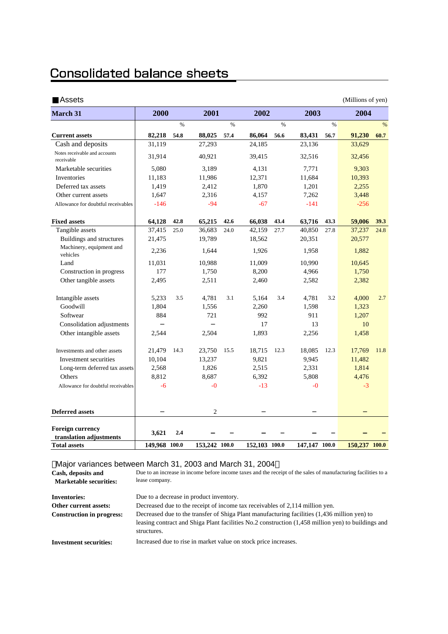# **Consolidated balance sheets**

| Assets                                      |               |      |                |      |               |      |               |      | (Millions of yen) |               |
|---------------------------------------------|---------------|------|----------------|------|---------------|------|---------------|------|-------------------|---------------|
| March 31                                    | 2000          |      | 2001           |      | 2002          |      | 2003          |      | 2004              |               |
|                                             |               | $\%$ |                | %    |               | $\%$ |               | $\%$ |                   | $\frac{0}{0}$ |
| <b>Current assets</b>                       | 82,218        | 54.8 | 88,025         | 57.4 | 86,064        | 56.6 | 83,431        | 56.7 | 91,230            | 60.7          |
| Cash and deposits                           | 31,119        |      | 27,293         |      | 24,185        |      | 23,136        |      | 33,629            |               |
| Notes receivable and accounts<br>receivable | 31,914        |      | 40,921         |      | 39,415        |      | 32,516        |      | 32,456            |               |
| Marketable securities                       | 5,080         |      | 3,189          |      | 4.131         |      | 7,771         |      | 9,303             |               |
| Inventories                                 | 11,183        |      | 11,986         |      | 12,371        |      | 11,684        |      | 10,393            |               |
| Deferred tax assets                         | 1,419         |      | 2,412          |      | 1,870         |      | 1,201         |      | 2,255             |               |
| Other current assets                        | 1,647         |      | 2,316          |      | 4,157         |      | 7,262         |      | 3,448             |               |
| Allowance for doubtful receivables          | $-146$        |      | $-94$          |      | $-67$         |      | $-141$        |      | $-256$            |               |
| <b>Fixed assets</b>                         | 64,128        | 42.8 | 65,215         | 42.6 | 66,038        | 43.4 | 63,716        | 43.3 | 59,006            | 39.3          |
| Tangible assets                             | 37,415        | 25.0 | 36,683         | 24.0 | 42,159        | 27.7 | 40,850        | 27.8 | 37,237            | 24.8          |
| Buildings and structures                    | 21,475        |      | 19,789         |      | 18,562        |      | 20,351        |      | 20,577            |               |
| Machinery, equipment and<br>vehicles        | 2,236         |      | 1,644          |      | 1,926         |      | 1,958         |      | 1,882             |               |
| Land                                        | 11,031        |      | 10,988         |      | 11,009        |      | 10,990        |      | 10,645            |               |
| Construction in progress                    | 177           |      | 1,750          |      | 8,200         |      | 4,966         |      | 1,750             |               |
| Other tangible assets                       | 2,495         |      | 2,511          |      | 2,460         |      | 2,582         |      | 2,382             |               |
| Intangible assets                           | 5,233         | 3.5  | 4,781          | 3.1  | 5,164         | 3.4  | 4,781         | 3.2  | 4,000             | 2.7           |
| Goodwill                                    | 1,804         |      | 1,556          |      | 2,260         |      | 1,598         |      | 1,323             |               |
| Softwear                                    | 884           |      | 721            |      | 992           |      | 911           |      | 1,207             |               |
| Consolidation adjustments                   |               |      |                |      | 17            |      | 13            |      | 10                |               |
| Other intangible assets                     | 2,544         |      | 2,504          |      | 1,893         |      | 2,256         |      | 1,458             |               |
| Investments and other assets                | 21,479        | 14.3 | 23,750         | 15.5 | 18,715        | 12.3 | 18,085        | 12.3 | 17,769            | 11.8          |
| Investment securities                       | 10,104        |      | 13,237         |      | 9,821         |      | 9,945         |      | 11,482            |               |
| Long-term deferred tax assets               | 2,568         |      | 1,826          |      | 2,515         |      | 2,331         |      | 1,814             |               |
| Others                                      | 8,812         |      | 8,687          |      | 6,392         |      | 5,808         |      | 4,476             |               |
| Allowance for doubtful receivables          | $-6$          |      | $-0$           |      | $-13$         |      | $-0$          |      | $-3$              |               |
|                                             |               |      | $\overline{c}$ |      |               |      |               |      |                   |               |
| <b>Deferred assets</b>                      |               |      |                |      |               |      |               |      |                   |               |
| <b>Foreign currency</b>                     |               |      |                |      |               |      |               |      |                   |               |
| translation adjustments                     | 3,621         | 2.4  |                |      |               |      |               |      |                   |               |
| <b>Total assets</b>                         | 149,968 100.0 |      | 153,242 100.0  |      | 152,103 100.0 |      | 147,147 100.0 |      | 150,237 100.0     |               |

#### Major variances between March 31, 2003 and March 31, 2004

| Cash, deposits and<br><b>Marketable securities:</b> | Due to an increase in income before income taxes and the receipt of the sales of manufacturing facilities to a<br>lease company.                                                                                  |
|-----------------------------------------------------|-------------------------------------------------------------------------------------------------------------------------------------------------------------------------------------------------------------------|
| <b>Inventories:</b>                                 | Due to a decrease in product inventory.                                                                                                                                                                           |
| Other current assets:                               | Decreased due to the receipt of income tax receivables of 2,114 million yen.                                                                                                                                      |
| <b>Construction in progress:</b>                    | Decreased due to the transfer of Shiga Plant manufacturing facilities (1.436 million yen) to<br>leasing contract and Shiga Plant facilities No.2 construction (1,458 million yen) to buildings and<br>structures. |
| <b>Investment securities:</b>                       | Increased due to rise in market value on stock price increases.                                                                                                                                                   |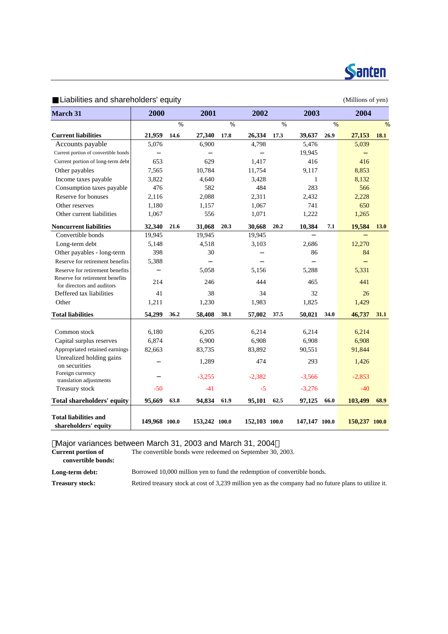

#### Liabilities and shareholders' equity equity and the state of yen) and the Millions of yen) **March 31** %  $\%$  %  $\%$  %  $\%$  %  $\%$ **Current liabilities 21,959 14.6 27,340 17.8 26,334 17.3 39,637 26.9 27,153 18.1** Accounts payable 5,076 6,900 4,798 5,476 5,039 Current portion of convertible bonds  $\left| \frac{19,945}{2} \right|$ Current portion of long-term debt 653 629  $1,417$  416  $416$ Other payables 2,565 10,784 11,754 9,117 8,853 Income taxes payable 3,822 4,640 3,428 1 8,132 Consumption taxes payable  $\begin{array}{ccc} 476 & 582 & 484 & 283 & 566 \end{array}$ Reserve for bonuses 2.116 2.088 2.311 2.432 2.228 Other reserves 1,180 1,157 1,067 741 650 Other current liabilities 1.067 556 1.071 1.222 1.265 **Noncurrent liabilities 32,340 21.6 31,068 20.3 30,668 20.2 10,384 7.1 19,584 13.0** Convertible bonds 19,945 19,945 19,945 Long-term debt <br>5,148 4,518 3,103 2,686 12,270 Other payables - long-term 398 30 30 86 84 Reserve for retirement benefits 5,388 Reserve for retirement benefits  $5.058$   $5.156$   $5.288$   $5.331$  Reserve for retirement benefits For directors and auditors and auditors 214 246 246 444 465 441 Deffered tax liabilities  $\begin{array}{ccc} 41 & 38 & 34 & 32 & 26 \\ 41 & 38 & 34 & 32 & 32 \\ 36 & 36 & 36 & 32 & 32 \\ 38 & 32 & 32 & 32 & 32 \\ 30 & 32 & 32 & 32 & 32 \\ 31 & 32 & 32 & 32 & 32 \\ 32 & 32 & 32 & 32 & 32 \\ 33 & 32 & 32 & 32 & 32 \\ 34 & 32 & 32 & 32 & 32 \\ 35 & 32 &$ Other 1,211 1,230 1,983 1,825 1,429 **Total liabilities 54,299 36.2 58,408 38.1 57,002 37.5 50,021 34.0 46,737 31.1** Common stock 6,180 6,205 6,214 6,214 6,214 6,214 Capital surplus reserves  $6,874$   $6,900$   $6,908$   $6,908$   $6,908$   $6,908$ Appropriated retained earnings 82,663 83,735 83,892 90,551 91,844 Unrealized holding gains on securities 1,289 474 293 1,426 Foreign currency Foreign currency<br>translation adjustments -3,255 -2,382 -3,566 -2,853 Treasury stock  $-50$   $-41$   $-5$   $-3,276$   $-40$ **Total shareholders' equity 95,669 63.8 94,834 61.9 95,101 62.5 97,125 66.0 103,499 68.9 Total liabilities and shareholders' equity 149,968 100.0 153,242 100.0 152,103 100.0 147,147 100.0 150,237 100.0 2000 2001 2002 2003 2004**

Major variances between March 31, 2003 and March 31, 2004

**Current portion of**

 **convertible bonds:**

Borrowed 10,000 million yen to fund the redemption of convertible bonds.

The convertible bonds were redeemed on September 30, 2003.

**Long-term debt:**

**Treasury stock:** Retired treasury stock at cost of 3,239 million yen as the company had no future plans to utilize it.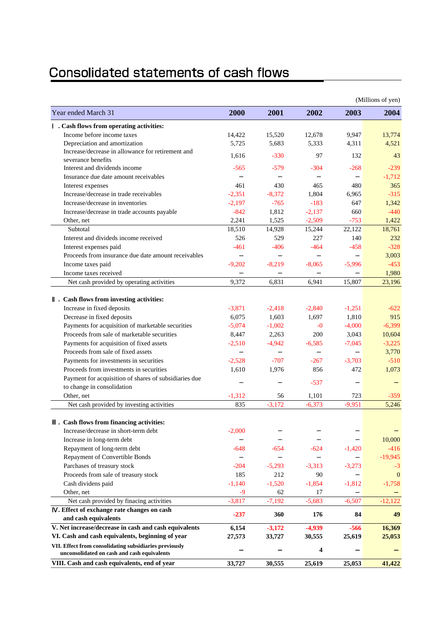# Consolidated statements of cash flows

|                                                        |          |          |          |          | (Millions of yen) |
|--------------------------------------------------------|----------|----------|----------|----------|-------------------|
| Year ended March 31                                    | 2000     | 2001     | 2002     | 2003     | 2004              |
| . Cash flows from operating activities:                |          |          |          |          |                   |
| Income before income taxes                             | 14,422   | 15,520   | 12,678   | 9,947    | 13,774            |
| Depreciation and amortization                          | 5,725    | 5,683    | 5,333    | 4,311    | 4,521             |
| Increase/decrease in allowance for retirement and      | 1,616    | $-330$   | 97       | 132      | 43                |
| severance benefits                                     |          |          |          |          |                   |
| Interest and dividends income                          | $-565$   | $-579$   | $-304$   | $-268$   | $-239$            |
| Insurance due date amount receivables                  |          |          |          |          | $-1,712$          |
| Interest expenses                                      | 461      | 430      | 465      | 480      | 365               |
| Increase/decrease in trade receivables                 | $-2,351$ | $-8,372$ | 1,804    | 6,965    | $-315$            |
| Increase/decrease in inventories                       | $-2,197$ | $-765$   | $-183$   | 647      | 1,342             |
| Increase/decrease in trade accounts payable            | $-842$   | 1,812    | $-2,137$ | 660      | $-440$            |
| Other, net                                             | 2,241    | 1,525    | $-2,509$ | $-753$   | 1,422             |
| Subtotal                                               | 18,510   | 14,928   | 15,244   | 22,122   | 18,761            |
| Interest and divideds income received                  | 526      | 529      | 227      | 140      | 232               |
| Interest expenses paid                                 | $-461$   | $-406$   | $-464$   | $-458$   | $-328$            |
| Proceeds from insurance due date amount receivables    |          |          |          |          | 3,003             |
| Income taxes paid                                      | $-9,202$ | $-8,219$ | $-8,065$ | $-5,996$ | $-453$            |
| Income taxes received                                  |          |          |          |          | 1,980             |
| Net cash provided by operating activities              | 9,372    | 6,831    | 6,941    | 15,807   | 23,196            |
| . Cash flows from investing activities:                |          |          |          |          |                   |
| Increase in fixed deposits                             | $-3.871$ | $-2,418$ | $-2,840$ | $-1,251$ | $-622$            |
| Decrease in fixed deposits                             | 6,075    | 1,603    | 1,697    | 1,810    | 915               |
| Payments for acquisition of marketable securities      | $-5,074$ | $-1,002$ | $-0$     | $-4,000$ | $-6,399$          |
| Proceeds from sale of marketable securities            | 8,447    | 2,263    | 200      | 3,043    | 10,604            |
| Payments for acquisition of fixed assets               | $-2,510$ | $-4,942$ | $-6,585$ | $-7,045$ | $-3,225$          |
| Proceeds from sale of fixed assets                     |          |          |          |          | 3,770             |
| Payments for investments in securities                 | $-2,528$ | $-707$   | $-267$   | $-3,703$ | $-510$            |
| Proceeds from investments in securities                | 1,610    | 1,976    | 856      | 472      | 1,073             |
| Payment for acquisition of shares of subsidiaries due  |          |          |          |          |                   |
| to change in consolidation                             |          |          | $-537$   |          |                   |
| Other, net                                             | $-1,312$ | 56       | 1,101    | 723      | $-359$            |
| Net cash provided by investing activities              | 835      | $-3,172$ | $-6,373$ | $-9,951$ | 5,246             |
| . Cash flows from financing activities:                |          |          |          |          |                   |
| Increase/decrease in short-term debt                   | $-2,000$ |          |          |          |                   |
| Increase in long-term debt                             |          |          |          |          | 10,000            |
| Repayment of long-term debt                            | $-648$   | $-654$   | $-624$   | $-1,420$ | $-416$            |
| Repayment of Convertible Bonds                         |          |          |          |          | $-19,945$         |
| Parchases of treasury stock                            | $-204$   | $-5,293$ | $-3,313$ | $-3,273$ | $-3$              |
| Proceeds from sale of treasury stock                   | 185      | 212      | 90       |          | $\mathbf{0}$      |
| Cash dividens paid                                     | $-1.140$ | $-1,520$ | $-1,854$ | $-1,812$ | $-1,758$          |
| Other, net                                             | $-9$     | 62       | 17       |          |                   |
| Net cash provided by finacing activities               | $-3,817$ | $-7,192$ | $-5,683$ | $-6,507$ | $-12,122$         |
| . Effect of exchange rate changes on cash              |          |          |          |          |                   |
| and cash equivalents                                   | $-237$   | 360      | 176      | 84       | 49                |
| V. Net increase/decrease in cash and cash equivalents  | 6,154    | $-3,172$ | $-4,939$ | $-566$   | 16,369            |
| VI. Cash and cash equivalents, beginning of year       | 27,573   | 33,727   | 30,555   | 25,619   | 25,053            |
| VII. Effect from consolidating subsidiaries previously |          |          | 4        |          |                   |
| unconsolidated on cash and cash equivalents            |          |          |          |          |                   |
| VIII. Cash and cash equivalents, end of year           | 33,727   | 30,555   | 25,619   | 25,053   | 41,422            |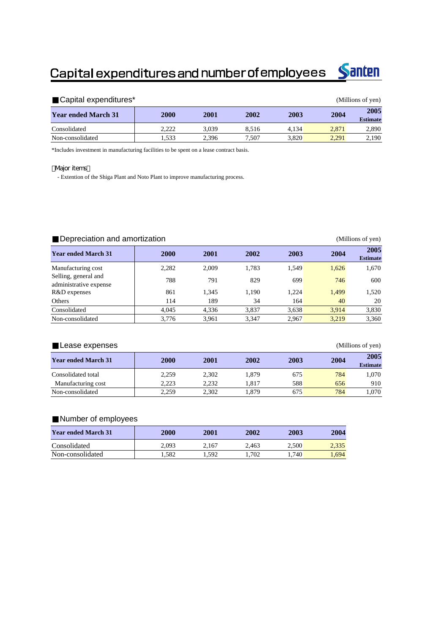# Capital expenditures and number of employees



| Capital expenditures*      |       | (Millions of yen) |       |       |       |                         |
|----------------------------|-------|-------------------|-------|-------|-------|-------------------------|
| <b>Year ended March 31</b> | 2000  | 2001              | 2002  | 2003  | 2004  | 2005<br><b>Estimate</b> |
| Consolidated               | 2.222 | 3.039             | 8.516 | 4.134 | 2.871 | 2,890                   |
| Non-consolidated           | 1.533 | 2,396             | 7.507 | 3.820 | 2.291 | 2,190                   |

\*Includes investment in manufacturing facilities to be spent on a lease contract basis.

#### **Major items**

- Extention of the Shiga Plant and Noto Plant to improve manufacturing process.

| Depreciation and amortization<br>(Millions of yen) |       |       |       |       |       |                         |  |  |
|----------------------------------------------------|-------|-------|-------|-------|-------|-------------------------|--|--|
| <b>Year ended March 31</b>                         | 2000  | 2001  | 2002  | 2003  | 2004  | 2005<br><b>Estimate</b> |  |  |
| Manufacturing cost                                 | 2.282 | 2.009 | 1,783 | 1,549 | 1,626 | 1,670                   |  |  |
| Selling, general and<br>administrative expense     | 788   | 791   | 829   | 699   | 746   | 600                     |  |  |
| R&D expenses                                       | 861   | 1,345 | 1,190 | 1.224 | 1,499 | 1,520                   |  |  |
| Others                                             | 114   | 189   | 34    | 164   | 40    | 20                      |  |  |
| Consolidated                                       | 4.045 | 4,336 | 3,837 | 3,638 | 3.914 | 3,830                   |  |  |
| Non-consolidated                                   | 3.776 | 3.961 | 3.347 | 2.967 | 3.219 | 3.360                   |  |  |

#### Lease expenses (Millions of yen)

| <b>Year ended March 31</b> | 2000  | 2001  | 2002  | 2003 | 2004 | 2005<br><b>Estimate</b> |
|----------------------------|-------|-------|-------|------|------|-------------------------|
| Consolidated total         | 2.259 | 2.302 | 1.879 | 675  | 784  | l.070                   |
| Manufacturing cost         | 2.223 | 2.232 | . 817 | 588  | 656  | 910                     |
| Non-consolidated           | 2.259 | 2.302 | .879  | 675  | 784  | 070                     |

### Number of employees

| <b>Year ended March 31</b> | 2000  | 2001  | 2002  | 2003  | 2004  |
|----------------------------|-------|-------|-------|-------|-------|
| Consolidated               | 2.093 | 2.167 | 2.463 | 2.500 | 2.335 |
| Non-consolidated           | . 582 | 1.592 | l.702 | 1.740 | .694  |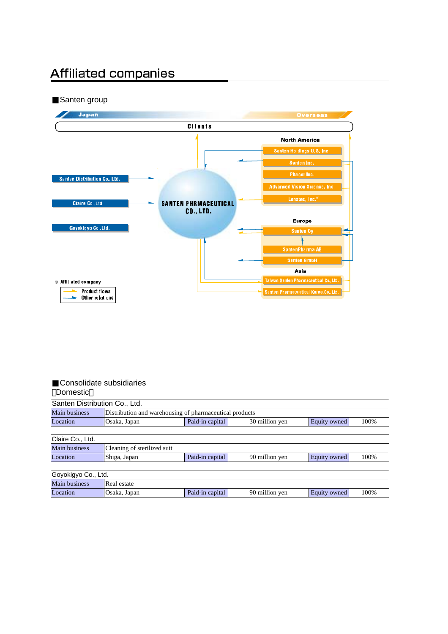# **Affiliated companies**

### Santen group



#### Consolidate subsidiaries Domestic

| Santen Distribution Co., Ltd. |                                                         |                 |                |              |      |  |  |  |  |
|-------------------------------|---------------------------------------------------------|-----------------|----------------|--------------|------|--|--|--|--|
| Main business                 | Distribution and warehousing of pharmaceutical products |                 |                |              |      |  |  |  |  |
| Location                      | Osaka, Japan                                            | Equity owned    | 100%           |              |      |  |  |  |  |
|                               |                                                         |                 |                |              |      |  |  |  |  |
| Claire Co., Ltd.              |                                                         |                 |                |              |      |  |  |  |  |
| Main business                 | Cleaning of sterilized suit                             |                 |                |              |      |  |  |  |  |
| Location                      | Shiga, Japan                                            | Paid-in capital | 90 million yen | Equity owned | 100% |  |  |  |  |
|                               |                                                         |                 |                |              |      |  |  |  |  |
| Goyokigyo Co., Ltd.           |                                                         |                 |                |              |      |  |  |  |  |
| <b>Main business</b>          | Real estate                                             |                 |                |              |      |  |  |  |  |
| Location                      | Osaka, Japan                                            | Paid-in capital | 90 million yen | Equity owned | 100% |  |  |  |  |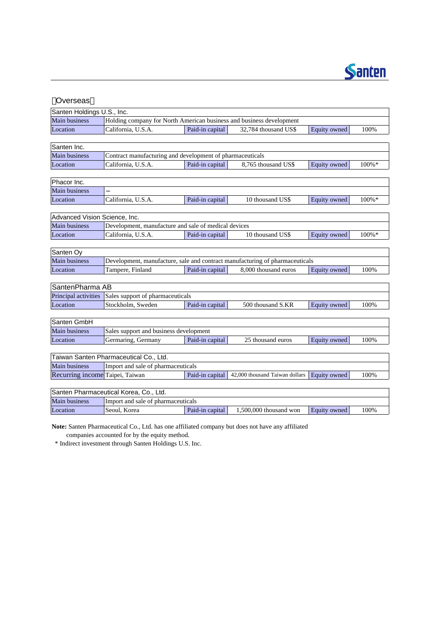

| Overseas                        |                                                                              |                 |                                |              |           |  |  |  |  |
|---------------------------------|------------------------------------------------------------------------------|-----------------|--------------------------------|--------------|-----------|--|--|--|--|
| Santen Holdings U.S., Inc.      |                                                                              |                 |                                |              |           |  |  |  |  |
| Main business                   | Holding company for North American business and business development         |                 |                                |              |           |  |  |  |  |
| Location                        | California, U.S.A.                                                           | Paid-in capital | 32.784 thousand US\$           | Equity owned | 100%      |  |  |  |  |
|                                 |                                                                              |                 |                                |              |           |  |  |  |  |
| Santen Inc.                     |                                                                              |                 |                                |              |           |  |  |  |  |
| Main business                   | Contract manufacturing and development of pharmaceuticals                    |                 |                                |              |           |  |  |  |  |
| Location                        | California, U.S.A.                                                           | Paid-in capital | 8,765 thousand US\$            | Equity owned | $100\% *$ |  |  |  |  |
|                                 |                                                                              |                 |                                |              |           |  |  |  |  |
| Phacor Inc.                     |                                                                              |                 |                                |              |           |  |  |  |  |
| <b>Main business</b>            |                                                                              |                 |                                |              |           |  |  |  |  |
| Location                        | California, U.S.A.                                                           | Paid-in capital | 10 thousand US\$               | Equity owned | 100%*     |  |  |  |  |
|                                 |                                                                              |                 |                                |              |           |  |  |  |  |
| Advanced Vision Science, Inc.   |                                                                              |                 |                                |              |           |  |  |  |  |
| Main business                   | Development, manufacture and sale of medical devices                         |                 |                                |              |           |  |  |  |  |
| Location                        | California, U.S.A.                                                           | Paid-in capital | 10 thousand US\$               | Equity owned | $100\% *$ |  |  |  |  |
|                                 |                                                                              |                 |                                |              |           |  |  |  |  |
| Santen Oy                       |                                                                              |                 |                                |              |           |  |  |  |  |
| Main business                   | Development, manufacture, sale and contract manufacturing of pharmaceuticals |                 |                                |              |           |  |  |  |  |
| Location                        | Tampere, Finland                                                             | Paid-in capital | 8,000 thousand euros           | Equity owned | 100%      |  |  |  |  |
|                                 |                                                                              |                 |                                |              |           |  |  |  |  |
| SantenPharma AB                 |                                                                              |                 |                                |              |           |  |  |  |  |
| Principal activities            | Sales support of pharmaceuticals                                             |                 |                                |              |           |  |  |  |  |
| Location                        | Stockholm, Sweden                                                            | Paid-in capital | 500 thousand S.KR              | Equity owned | 100%      |  |  |  |  |
|                                 |                                                                              |                 |                                |              |           |  |  |  |  |
| Santen GmbH                     |                                                                              |                 |                                |              |           |  |  |  |  |
| Main business                   | Sales support and business development                                       |                 |                                |              |           |  |  |  |  |
| Location                        | Germaring, Germany                                                           | Paid-in capital | 25 thousand euros              | Equity owned | 100%      |  |  |  |  |
|                                 |                                                                              |                 |                                |              |           |  |  |  |  |
|                                 | Taiwan Santen Pharmaceutical Co., Ltd.                                       |                 |                                |              |           |  |  |  |  |
| Main business                   | Import and sale of pharmaceuticals                                           |                 |                                |              |           |  |  |  |  |
| Recurring income Taipei, Taiwan |                                                                              | Paid-in capital | 42,000 thousand Taiwan dollars | Equity owned | 100%      |  |  |  |  |
|                                 |                                                                              |                 |                                |              |           |  |  |  |  |
|                                 | Santen Pharmaceutical Korea, Co., Ltd.                                       |                 |                                |              |           |  |  |  |  |
| Main business                   | Import and sale of pharmaceuticals                                           |                 |                                |              |           |  |  |  |  |
| Location                        | Seoul, Korea                                                                 | Paid-in capital | $1,500,000$ thousand won       | Equity owned | 100%      |  |  |  |  |

**Note:** Santen Pharmaceutical Co., Ltd. has one affiliated company but does not have any affiliated

companies accounted for by the equity method.

\* Indirect investment through Santen Holdings U.S. Inc.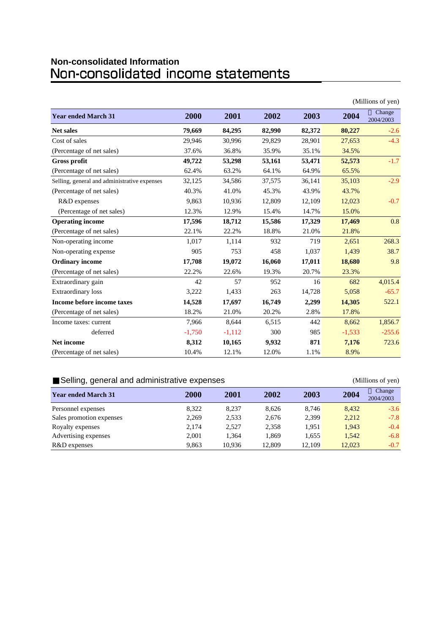# **Non-consolidated Information**

| (Millions of yen)                            |          |          |        |        |          |                     |
|----------------------------------------------|----------|----------|--------|--------|----------|---------------------|
| <b>Year ended March 31</b>                   | 2000     | 2001     | 2002   | 2003   | 2004     | Change<br>2004/2003 |
| <b>Net sales</b>                             | 79,669   | 84,295   | 82,990 | 82,372 | 80,227   | $-2.6$              |
| Cost of sales                                | 29,946   | 30,996   | 29,829 | 28,901 | 27,653   | $-4.3$              |
| (Percentage of net sales)                    | 37.6%    | 36.8%    | 35.9%  | 35.1%  | 34.5%    |                     |
| <b>Gross profit</b>                          | 49,722   | 53,298   | 53,161 | 53,471 | 52,573   | $-1.7$              |
| (Percentage of net sales)                    | 62.4%    | 63.2%    | 64.1%  | 64.9%  | 65.5%    |                     |
| Selling, general and administrative expenses | 32,125   | 34,586   | 37,575 | 36,141 | 35,103   | $-2.9$              |
| (Percentage of net sales)                    | 40.3%    | 41.0%    | 45.3%  | 43.9%  | 43.7%    |                     |
| R&D expenses                                 | 9.863    | 10,936   | 12,809 | 12,109 | 12,023   | $-0.7$              |
| (Percentage of net sales)                    | 12.3%    | 12.9%    | 15.4%  | 14.7%  | 15.0%    |                     |
| <b>Operating income</b>                      | 17,596   | 18,712   | 15,586 | 17,329 | 17,469   | 0.8                 |
| (Percentage of net sales)                    | 22.1%    | 22.2%    | 18.8%  | 21.0%  | 21.8%    |                     |
| Non-operating income                         | 1,017    | 1,114    | 932    | 719    | 2,651    | 268.3               |
| Non-operating expense                        | 905      | 753      | 458    | 1,037  | 1,439    | 38.7                |
| <b>Ordinary income</b>                       | 17,708   | 19,072   | 16,060 | 17,011 | 18,680   | 9.8                 |
| (Percentage of net sales)                    | 22.2%    | 22.6%    | 19.3%  | 20.7%  | 23.3%    |                     |
| Extraordinary gain                           | 42       | 57       | 952    | 16     | 682      | 4,015.4             |
| <b>Extraordinary</b> loss                    | 3,222    | 1,433    | 263    | 14,728 | 5,058    | $-65.7$             |
| Income before income taxes                   | 14,528   | 17,697   | 16,749 | 2,299  | 14,305   | 522.1               |
| (Percentage of net sales)                    | 18.2%    | 21.0%    | 20.2%  | 2.8%   | 17.8%    |                     |
| Income taxes: current                        | 7,966    | 8,644    | 6,515  | 442    | 8,662    | 1,856.7             |
| deferred                                     | $-1,750$ | $-1,112$ | 300    | 985    | $-1,533$ | $-255.6$            |
| Net income                                   | 8,312    | 10,165   | 9,932  | 871    | 7,176    | 723.6               |
| (Percentage of net sales)                    | 10.4%    | 12.1%    | 12.0%  | 1.1%   | 8.9%     |                     |

### Selling, general and administrative expenses (Millions of yen)

| .                          |       |        |        |        |        |                     |
|----------------------------|-------|--------|--------|--------|--------|---------------------|
| <b>Year ended March 31</b> | 2000  | 2001   | 2002   | 2003   | 2004   | Change<br>2004/2003 |
| Personnel expenses         | 8.322 | 8.237  | 8.626  | 8.746  | 8.432  | $-3.6$              |
| Sales promotion expenses   | 2,269 | 2,533  | 2,676  | 2,399  | 2,212  | $-7.8$              |
| Royalty expenses           | 2,174 | 2,527  | 2,358  | 1.951  | 1,943  | $-0.4$              |
| Advertising expenses       | 2.001 | 1,364  | 1.869  | 1,655  | 1.542  | $-6.8$              |
| R&D expenses               | 9.863 | 10.936 | 12.809 | 12.109 | 12,023 | $-0.7$              |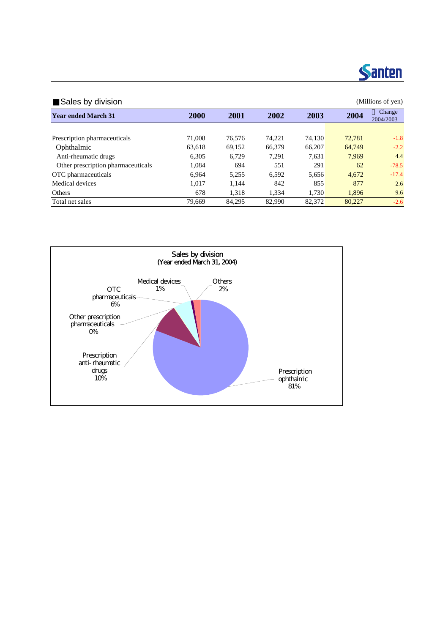

Sales by division (Millions of yen) **Year ended March 31 2000 2001 2002 2003 2004 Change 2004 2004 2004 2004 2004 2004 2004 2004 2004 2004 2004 2004 2004 2004 2004 2004 2004 2004 2004 2004 2004 2004 2** 2004/2003 Prescription pharmaceuticals 71,008 76,576 74,221 74,130 72,781 -1.8 Ophthalmic 63,618 69,152 66,379 66,207 64,749 -2.2 Anti-rheumatic drugs 6,305 6,729 7,291 7,631 7,969 4.4 Other prescription pharmaceuticals 1,084 694 551 291 62 -78.5 OTC pharmaceuticals 6,964 5,255 6,592 5,656 4,672 -17.4 Medical devices 1,017 1,144 842 855 877 2.6 Others 678 1,318 1,334 1,730 1,896 9.6 Total net sales 79,669 84,295 82,990 82,372 80,227 -2.6

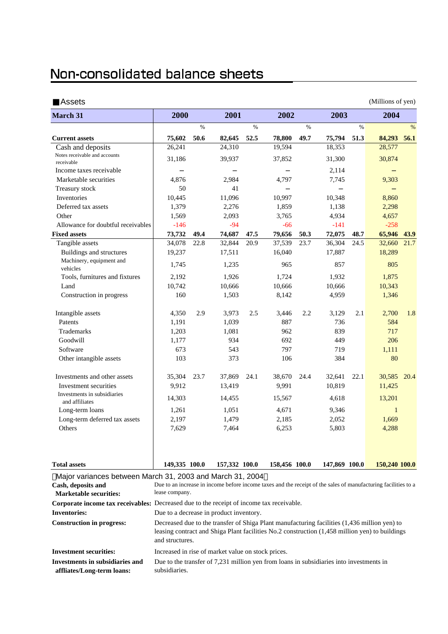# Non-consolidated balance sheets

| Assets                                                                          |                                                                                                                |      |               |      |               |      |               |      | (Millions of yen) |      |
|---------------------------------------------------------------------------------|----------------------------------------------------------------------------------------------------------------|------|---------------|------|---------------|------|---------------|------|-------------------|------|
| <b>March 31</b>                                                                 | 2000                                                                                                           |      | 2001          |      | 2002          |      | 2003          |      | 2004              |      |
|                                                                                 |                                                                                                                | $\%$ |               | $\%$ |               | %    |               | $\%$ |                   | $\%$ |
| <b>Current assets</b>                                                           | 75,602                                                                                                         | 50.6 | 82,645        | 52.5 | 78,800        | 49.7 | 75,794        | 51.3 | 84,293            | 56.1 |
| Cash and deposits                                                               | 26,241                                                                                                         |      | 24,310        |      | 19,594        |      | 18,353        |      | 28,577            |      |
| Notes receivable and accounts<br>receivable                                     | 31,186                                                                                                         |      | 39,937        |      | 37,852        |      | 31,300        |      | 30,874            |      |
| Income taxes receivable                                                         |                                                                                                                |      |               |      |               |      | 2,114         |      |                   |      |
| Marketable securities                                                           | 4,876                                                                                                          |      | 2,984         |      | 4,797         |      | 7,745         |      | 9,303             |      |
| Treasury stock                                                                  | 50                                                                                                             |      | 41            |      |               |      |               |      |                   |      |
| Inventories                                                                     | 10,445                                                                                                         |      | 11,096        |      | 10,997        |      | 10,348        |      | 8,860             |      |
| Deferred tax assets                                                             | 1,379                                                                                                          |      | 2,276         |      | 1,859         |      | 1,138         |      | 2,298             |      |
| Other                                                                           | 1,569                                                                                                          |      | 2,093         |      | 3,765         |      | 4,934         |      | 4,657             |      |
| Allowance for doubtful receivables                                              | $-146$                                                                                                         |      | $-94$         |      | $-66$         |      | $-141$        |      | $-258$            |      |
| <b>Fixed assets</b>                                                             | 73,732                                                                                                         | 49.4 | 74,687        | 47.5 | 79,656        | 50.3 | 72,075        | 48.7 | 65,946            | 43.9 |
| Tangible assets                                                                 | 34,078                                                                                                         | 22.8 | 32,844        | 20.9 | 37,539        | 23.7 | 36,304        | 24.5 | 32,660            | 21.7 |
| Buildings and structures                                                        | 19,237                                                                                                         |      | 17,511        |      | 16,040        |      | 17,887        |      | 18,289            |      |
| Machinery, equipment and<br>vehicles                                            | 1,745                                                                                                          |      | 1,235         |      | 965           |      | 857           |      | 805               |      |
| Tools, furnitures and fixtures                                                  | 2,192                                                                                                          |      | 1,926         |      | 1,724         |      | 1,932         |      | 1,875             |      |
| Land                                                                            | 10,742                                                                                                         |      | 10,666        |      | 10,666        |      | 10,666        |      | 10,343            |      |
| Construction in progress                                                        | 160                                                                                                            |      | 1,503         |      | 8,142         |      | 4,959         |      | 1,346             |      |
| Intangible assets                                                               | 4,350                                                                                                          | 2.9  | 3,973         | 2.5  | 3,446         | 2.2  | 3,129         | 2.1  | 2,700             | 1.8  |
| Patents                                                                         | 1,191                                                                                                          |      | 1,039         |      | 887           |      | 736           |      | 584               |      |
| <b>Trademarks</b>                                                               | 1,203                                                                                                          |      | 1,081         |      | 962           |      | 839           |      | 717               |      |
| Goodwill                                                                        | 1,177                                                                                                          |      | 934           |      | 692           |      | 449           |      | 206               |      |
| Software                                                                        | 673                                                                                                            |      | 543           |      | 797           |      | 719           |      | 1,111             |      |
| Other intangible assets                                                         | 103                                                                                                            |      | 373           |      | 106           |      | 384           |      | 80                |      |
| Investments and other assets                                                    | 35,304                                                                                                         | 23.7 | 37,869        | 24.1 | 38,670        | 24.4 | 32,641        | 22.1 | 30,585 20.4       |      |
| Investment securities                                                           | 9,912                                                                                                          |      | 13,419        |      | 9,991         |      | 10,819        |      | 11,425            |      |
| Investments in subsidiaries<br>and affiliates                                   | 14,303                                                                                                         |      | 14,455        |      | 15,567        |      | 4,618         |      | 13,201            |      |
| Long-term loans                                                                 | 1,261                                                                                                          |      | 1,051         |      | 4,671         |      | 9,346         |      | $\mathbf{1}$      |      |
| Long-term deferred tax assets                                                   | 2,197                                                                                                          |      | 1,479         |      | 2,185         |      | 2,052         |      | 1,669             |      |
| Others                                                                          | 7,629                                                                                                          |      | 7,464         |      | 6,253         |      | 5,803         |      | 4,288             |      |
| <b>Total assets</b>                                                             | 149,335 100.0                                                                                                  |      | 157,332 100.0 |      | 158,456 100.0 |      | 147,869 100.0 |      | 150,240 100.0     |      |
| Major variances between March 31, 2003 and March 31, 2004<br>Cash, deposits and | Due to an increase in income before income taxes and the receipt of the sales of manufacturing facilities to a |      |               |      |               |      |               |      |                   |      |

| <b>Marketable securities:</b>    | lease company.                                                                                                                                                                                                    |
|----------------------------------|-------------------------------------------------------------------------------------------------------------------------------------------------------------------------------------------------------------------|
|                                  | Corporate income tax receivables: Decreased due to the receipt of income tax receivable.                                                                                                                          |
| <b>Inventories:</b>              | Due to a decrease in product inventory.                                                                                                                                                                           |
| <b>Construction in progress:</b> | Decreased due to the transfer of Shiga Plant manufacturing facilities (1,436 million yen) to<br>leasing contract and Shiga Plant facilities No.2 construction (1,458 million yen) to buildings<br>and structures. |
| <b>Investment securities:</b>    | Increased in rise of market value on stock prices.                                                                                                                                                                |
| Investments in subsidiaries and  | Due to the transfer of 7,231 million yen from loans in subsidiaries into investments in                                                                                                                           |
| affliates/Long-term loans:       | subsidiaries.                                                                                                                                                                                                     |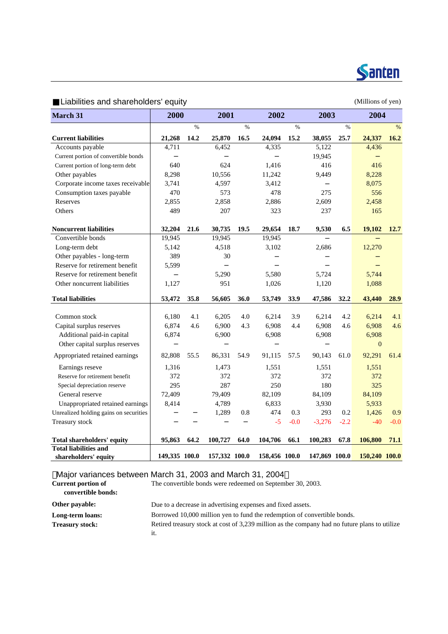

Liabilities and shareholders' equity example of the control of yen) (Millions of yen)

| <b>March 31</b>                                        | 2000          |      | 2001          |      | 2002          |        | 2003           |        | 2004          |        |
|--------------------------------------------------------|---------------|------|---------------|------|---------------|--------|----------------|--------|---------------|--------|
|                                                        |               | $\%$ |               | $\%$ |               | $\%$   |                | $\%$   |               | $\%$   |
| <b>Current liabilities</b>                             | 21,268        | 14.2 | 25,870        | 16.5 | 24,094        | 15.2   | 38,055         | 25.7   | 24,337        | 16.2   |
| Accounts payable                                       | 4,711         |      | 6,452         |      | 4,335         |        | 5,122          |        | 4,436         |        |
| Current portion of convertible bonds                   |               |      |               |      |               |        | 19,945         |        |               |        |
| Current portion of long-term debt                      | 640           |      | 624           |      | 1,416         |        | 416            |        | 416           |        |
| Other payables                                         | 8,298         |      | 10,556        |      | 11,242        |        | 9,449          |        | 8,228         |        |
| Corporate income taxes receivable                      | 3,741         |      | 4,597         |      | 3,412         |        |                |        | 8,075         |        |
| Consumption taxes payable                              | 470           |      | 573           |      | 478           |        | 275            |        | 556           |        |
| Reserves                                               | 2,855         |      | 2,858         |      | 2,886         |        | 2,609          |        | 2,458         |        |
| Others                                                 | 489           |      | 207           |      | 323           |        | 237            |        | 165           |        |
| <b>Noncurrent liabilities</b>                          | 32,204        | 21.6 | 30,735        | 19.5 | 29,654        | 18.7   | 9,530          | 6.5    | 19,102        | 12.7   |
| Convertible bonds                                      | 19,945        |      | 19,945        |      | 19,945        |        |                |        |               |        |
| Long-term debt                                         | 5,142         |      | 4,518         |      | 3,102         |        | 2,686          |        | 12,270        |        |
| Other payables - long-term                             | 389           |      | 30            |      |               |        |                |        |               |        |
| Reserve for retirement benefit                         | 5,599         |      |               |      |               |        |                |        |               |        |
| Reserve for retirement benefit                         |               |      | 5,290         |      | 5,580         |        | 5,724          |        | 5,744         |        |
| Other noncurrent liabilities                           | 1,127         |      | 951           |      | 1,026         |        | 1,120          |        | 1,088         |        |
| <b>Total liabilities</b>                               | 53,472        | 35.8 | 56,605        | 36.0 | 53,749        | 33.9   | 47,586         | 32.2   | 43,440        | 28.9   |
| Common stock                                           | 6,180         | 4.1  | 6,205         | 4.0  | 6,214         | 3.9    |                | 4.2    | 6,214         | 4.1    |
|                                                        | 6,874         |      | 6,900         | 4.3  | 6,908         |        | 6,214<br>6,908 |        | 6,908         | 4.6    |
| Capital surplus reserves<br>Additional paid-in capital | 6,874         | 4.6  | 6,900         |      | 6,908         | 4.4    | 6,908          | 4.6    | 6,908         |        |
| Other capital surplus reserves                         |               |      |               |      |               |        |                |        | $\mathbf{0}$  |        |
| Appropriated retained earnings                         | 82,808        | 55.5 | 86,331        | 54.9 | 91,115        | 57.5   | 90,143         | 61.0   | 92,291        | 61.4   |
| Earnings reseve                                        | 1,316         |      | 1,473         |      | 1,551         |        | 1,551          |        | 1,551         |        |
| Reserve for retirement benefit                         | 372           |      | 372           |      | 372           |        | 372            |        | 372           |        |
| Special depreciation reserve                           | 295           |      | 287           |      | 250           |        | 180            |        | 325           |        |
| General reserve                                        | 72,409        |      | 79,409        |      | 82,109        |        | 84,109         |        | 84,109        |        |
| Unappropriated retained earnings                       | 8,414         |      | 4,789         |      | 6,833         |        | 3,930          |        | 5,933         |        |
| Unrealized holding gains on securities                 |               |      | 1,289         | 0.8  | 474           | 0.3    | 293            | 0.2    | 1,426         | 0.9    |
| Treasury stock                                         |               |      |               |      | $-5$          | $-0.0$ | $-3,276$       | $-2.2$ | $-40$         | $-0.0$ |
| Total shareholders' equity                             | 95,863        | 64.2 | 100,727       | 64.0 | 104,706       | 66.1   | 100,283        | 67.8   | 106,800       | 71.1   |
| <b>Total liabilities and</b>                           |               |      |               |      |               |        |                |        |               |        |
| shareholders' equity                                   | 149,335 100.0 |      | 157,332 100.0 |      | 158,456 100.0 |        | 147,869 100.0  |        | 150,240 100.0 |        |

Major variances between March 31, 2003 and March 31, 2004

| <b>Current portion of</b><br>convertible bonds: | The convertible bonds were redeemed on September 30, 2003.                                    |
|-------------------------------------------------|-----------------------------------------------------------------------------------------------|
| Other payable:                                  | Due to a decrease in advertising expenses and fixed assets.                                   |
| Long-term loans:                                | Borrowed 10,000 million yen to fund the redemption of convertible bonds.                      |
| <b>Treasury stock:</b>                          | Retired treasury stock at cost of 3.239 million as the company had no future plans to utilize |
|                                                 | ıt.                                                                                           |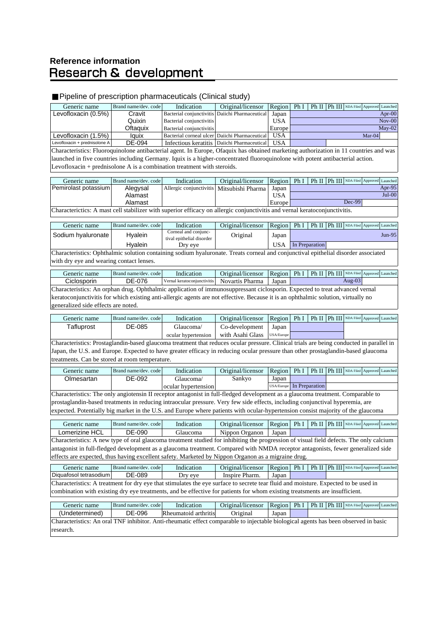# **Reference informationResearch & development**

#### Pipeline of prescription pharmaceuticals (Clinical study) Generic name Brand name/dev. code Indication Original/licensor Region Ph I Ph II Ph III NDA Filed Approved Launche Levofloxacin (0.5%) Cravit Bacterial conjunctivitis Daiichi Pharmaceutical Japan Quixin Bacterial conjunctivitis USA Oftaquix Bacterial conjunctivitis Europe<br> **Oftaquix** Bacterial corneal ulcer Daiichi Pharmaceutical USA Levofloxacin (1.5%) Iquix Bacterial corneal ulcer Daiichi Pharmaceutical USA Mar-04 Levofloxacin + prednisolone A DE-094 Infectious keratitis Daiichi Pharmaceutical USA Generic name Brand name/dev. code Indication Original/licensor Region Ph I Ph II Ph III NDA Filed Approved Launched Pemirolast potassium Alegysal Allergic conjunctivitis Mitsubishi Pharma Japan Alamast I USA Alamast Europe Generic name Brand name/dev. code Indication Original/licensor Region Ph I Ph II Ph III NDA Filed Approved Launche Sodium hyaluronate Hyalein Corneal and conjunc-Corneal and conjunc-<br>tival epithelial disorder Original Japan Hyalein Dry eye | USA Generic name Brand name/dev. code Indication Original/licensor Region Ph I Ph II Ph III NDA Filed Approved Launche Ciclosporin | DE-076 | Vernal keratoconjunctivitis | Novartis Pharma | Japan Generic name Brand name/dev. code Indication Original/licensor Region Ph I Ph II Ph III NDA Filed Approved Launche Tafluprost DE-085 Glaucoma/ Co-development Japan ocular hypertension with Asahi Glass USA/Euro Generic name Brand name/dev. code Indication Original/licensor Region Ph I Ph II Ph III NDA Filed Approved Launche Olmesartan DE-092 Glaucoma/ Sankyo Japan ocular hypertension USA/Europe Generic name Brand name/dev. code Indication Original/licensor Region Ph I Ph II Ph III NDA Filed Approved Launched Lomerizine HCL | DE-090 | Glaucoma | Nippon Organon | Japan Generic name Brand name/dev. code Indication Original/licensor Region Ph I Ph II Ph III NDA Filed Approved Launched Diquafosol tetrasodium DE-089 | Dry eye | Inspire Pharm. | Japan Generic name Brand name/dev. code Indication Original/licensor Region Ph I Ph II Ph III NDA Filed Approved Launched (Undetermined) DE-096 Rheumatoid arthritis Original Japan Characteristics: An oral TNF inhibitor. Anti-rheumatic effect comparable to injectable biological agents has been observed in basic research. Apr- $00$ Nov-00 May-02 Characteristics: Fluoroquinolone antibacterial agent. In Europe, Ofaquix has obtained marketing authorization in 11 countries and was launched in five countries including Germany. Iquix is a higher-concentrated fluoroquinolone with potent antibacterial action. Levofloxacin + prednisolone A is a combination treatment with steroids. Apr-95  $J$ ul-00 Dec-99 Jun-9<sup>4</sup> Characterictics: A mast cell stabilizer with superior efficacy on allergic conjunctivitis and vernal keratoconjunctivitis. Characteristics: A new type of oral glaucoma treatment studied for inhibiting the progression of visual field defects. The only calcium antagonist in full-fledged development as a glaucoma treatment. Compared with NMDA receptor antagonists, fewer generalized side s are expected, thus having excellent safety. Marketed by Nippon Organon as a migraine drug. In Preparation In Preparation Characteristics: A treatment for dry eye that stimulates the eye surface to secrete tear fluid and moisture. Expected to be used in combination with existing dry eye treatments, and be effective for patients for whom existing treatsments are insufficient. Characteristics: Ophthalmic solution containing sodium hyaluronate. Treats corneal and conjunctival epithelial disorder associated with dry eye and wearing contact lenses. Aug-03 Characteristics: An orphan drug. Ophthalmic application of immunosuppressant ciclosporin. Expected to treat advanced vernal keratoconjunctivitis for which existing anti-allergic agents are not effective. Because it is an ophthalmic solution, virtually no generalized side effects are noted. Characteristics: Prostaglandin-based glaucoma treatment that reduces ocular pressure. Clinical trials are being conducted in parallel in Japan, the U.S. and Europe. Expected to have greater efficacy in reducing ocular pressure than other prostaglandin-based glaucoma treatments. Can be stored at room temperature. Characteristics: The only angiotensin II receptor antagonist in full-fledged development as a glaucoma treatment. Comparable to prostaglandin-based treatments in reducing intraocular pressure. Very few side effects, including conjunctival hyperemia, are expected. Potentially big market in the U.S. and Europe where patients with ocular-hypertension consist majority of the glaucoma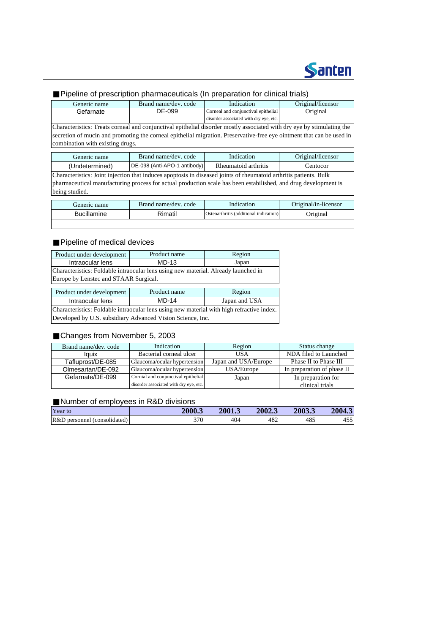

## Pipeline of prescription pharmaceuticals (In preparation for clinical trials)

| Generic name                                                                                                           | Brand name/dev. code         | Indication                             | Original/licensor    |  |  |
|------------------------------------------------------------------------------------------------------------------------|------------------------------|----------------------------------------|----------------------|--|--|
| Gefarnate                                                                                                              | DE-099                       | Corneal and conjunctival epithelial    |                      |  |  |
|                                                                                                                        |                              | disorder associated with dry eye, etc. |                      |  |  |
| Characteristics: Treats corneal and conjunctival epithelial disorder mostly associated with dry eye by stimulating the |                              |                                        |                      |  |  |
| secretion of mucin and promoting the corneal epithelial migration. Preservative-free eye ointment that can be used in  |                              |                                        |                      |  |  |
| combination with existing drugs.                                                                                       |                              |                                        |                      |  |  |
|                                                                                                                        |                              |                                        |                      |  |  |
| Generic name                                                                                                           | Brand name/dev. code         | Indication                             |                      |  |  |
| (Undetermined)                                                                                                         | DE-098 (Anti-APO-1 antibody) | Rheumatoid arthritis                   | Centocor             |  |  |
| Characteristics: Joint injection that induces apoptosis in diseased joints of rheumatoid arthritis patients. Bulk      |                              |                                        |                      |  |  |
| pharmaceutical manufacturing process for actual production scale has been estabilished, and drug development is        |                              |                                        |                      |  |  |
| being studied.                                                                                                         |                              |                                        |                      |  |  |
|                                                                                                                        |                              |                                        |                      |  |  |
| Generic name                                                                                                           | Brand name/dev. code         | Indication                             | Original/in-licensor |  |  |
| <b>Bucillamine</b>                                                                                                     | Rimatil                      | Osteoarthritis (additional indication) | Original             |  |  |
|                                                                                                                        |                              |                                        |                      |  |  |

### Pipeline of medical devices

| Product under development                                                                 | Product name | Region        |  |  |  |  |  |
|-------------------------------------------------------------------------------------------|--------------|---------------|--|--|--|--|--|
| Intraocular lens                                                                          | $MD-13$      | Japan         |  |  |  |  |  |
| Characteristics: Foldable intraocular lens using new material. Already launched in        |              |               |  |  |  |  |  |
| Europe by Lenstec and STAAR Surgical.                                                     |              |               |  |  |  |  |  |
|                                                                                           |              |               |  |  |  |  |  |
| Product under development                                                                 | Product name | Region        |  |  |  |  |  |
| Intraocular lens                                                                          | MD-14        | Japan and USA |  |  |  |  |  |
| Characteristics: Foldable intraocular lens using new material with high refractive index. |              |               |  |  |  |  |  |
| Developed by U.S. subsidiary Advanced Vision Science, Inc.                                |              |               |  |  |  |  |  |

### Changes from November 5, 2003

| Brand name/dev. code | Indication                             | Region               | Status change              |
|----------------------|----------------------------------------|----------------------|----------------------------|
| lauix                | Bacterial corneal ulcer                | USA                  | NDA filed to Launched      |
| Tafluprost/DE-085    | Glaucoma/ocular hypertension           | Japan and USA/Europe | Phase II to Phase III      |
| Olmesartan/DE-092    | Glaucoma/ocular hypertension           | USA/Europe           | In preparation of phase II |
| Gefarnate/DE-099     | Cornial and conjunctival epithelial    | Japan                | In preparation for         |
|                      | disorder associated with dry eye, etc. |                      | clinical trials            |

#### Number of employees in R&D divisions

| Year to                         | 2000.3 | 2001.3 | 2002.3 | 2003.3 | 2004.3              |
|---------------------------------|--------|--------|--------|--------|---------------------|
| R&D<br>represent (consolidated) | חדי    | 404    | 482    | 485    | . <i>. .</i><br>45U |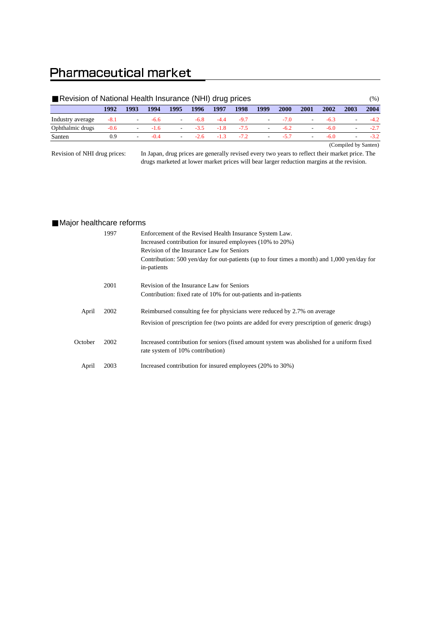# **Pharmaceutical market**

| Revision of National Health Insurance (NHI) drug prices |        |        |        |                          |        |        |        |                          |        | (%)                      |      |      |       |
|---------------------------------------------------------|--------|--------|--------|--------------------------|--------|--------|--------|--------------------------|--------|--------------------------|------|------|-------|
|                                                         | 1992   | 1993   | 1994   | 1995                     | 1996   | 1997   | 1998   | 1999                     | 2000   | 2001                     | 2002 | 2003 | 2004  |
| Industry average                                        | $-8.1$ | $\sim$ | $-6.6$ | $\sim$                   | $-6.8$ | $-4.4$ | $-9.7$ | $\overline{\phantom{a}}$ | $-7.0$ | $\overline{\phantom{a}}$ | -63  | ۰    |       |
| Ophthalmic drugs                                        | $-0.6$ |        | $-1.6$ | $\sim$                   | $-3.5$ | $-1.8$ | $-7.5$ | $\sim$                   | $-62$  | $\overline{\phantom{a}}$ | -60  |      |       |
| Santen                                                  | 0.9    |        | $-0.4$ | $\overline{\phantom{a}}$ | $-2.6$ | $-13$  | $-72$  | $\overline{\phantom{a}}$ | $-57$  | $\overline{\phantom{a}}$ | -60  | -    | $-32$ |
|                                                         |        |        |        |                          |        |        |        |                          |        |                          |      |      |       |

(Compiled by Santen)

Revision of NHI drug prices:

In Japan, drug prices are generally revised every two years to reflect their market price. The drugs marketed at lower market prices will bear larger reduction margins at the revision.

### Major healthcare reforms

|         | 1997 | Enforcement of the Revised Health Insurance System Law.                                                                       |
|---------|------|-------------------------------------------------------------------------------------------------------------------------------|
|         |      | Increased contribution for insured employees (10% to 20%)<br>Revision of the Insurance Law for Seniors                        |
|         |      | Contribution: 500 yen/day for out-patients (up to four times a month) and 1,000 yen/day for<br>in-patients                    |
|         | 2001 | Revision of the Insurance Law for Seniors                                                                                     |
|         |      | Contribution: fixed rate of 10% for out-patients and in-patients                                                              |
| April   | 2002 | Reimbursed consulting fee for physicians were reduced by 2.7% on average                                                      |
|         |      | Revision of prescription fee (two points are added for every prescription of generic drugs)                                   |
| October | 2002 | Increased contribution for seniors (fixed amount system was abolished for a uniform fixed<br>rate system of 10% contribution) |
| April   | 2003 | Increased contribution for insured employees (20% to 30%)                                                                     |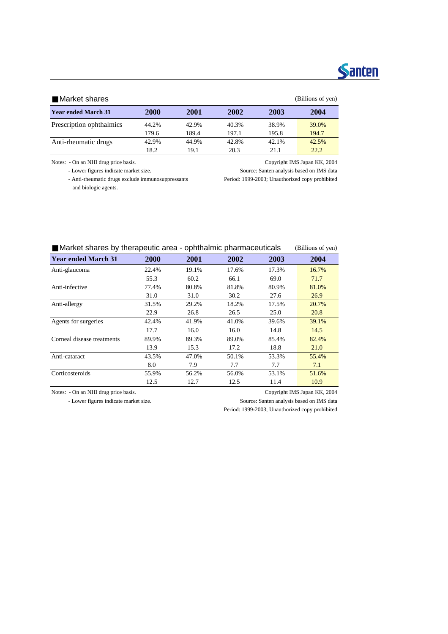# **Santen**

#### Market shares (Billions of yen)

| <b>Year ended March 31</b> | 2000  | 2001  | 2002  | 2003  | 2004  |
|----------------------------|-------|-------|-------|-------|-------|
| Prescription ophthalmics   | 44.2% | 42.9% | 40.3% | 38.9% | 39.0% |
|                            | 179.6 | 189.4 | 197.1 | 195.8 | 194.7 |
| Anti-rheumatic drugs       | 42.9% | 44.9% | 42.8% | 42.1% | 42.5% |
|                            | 18.2  | 19.1  | 20.3  | 21.1  | 22.2  |

Notes: - On an NHI drug price basis. Copyright IMS Japan KK, 2004

- Lower figures indicate market size. Source: Santen analysis based on IMS data

 - Anti-rheumatic drugs exclude immunosuppressants Period: 1999-2003; Unauthorized copy prohibited and biologic agents.

| mainer shares by merapedite area - ophimaining pharmaceuticals<br>$\mu$ and $\mu$ or $\mu$ and $\mu$ |       |       |       |       |       |  |  |  |
|------------------------------------------------------------------------------------------------------|-------|-------|-------|-------|-------|--|--|--|
| <b>Year ended March 31</b>                                                                           | 2000  | 2001  | 2002  | 2003  | 2004  |  |  |  |
| Anti-glaucoma                                                                                        | 22.4% | 19.1% | 17.6% | 17.3% | 16.7% |  |  |  |
|                                                                                                      | 55.3  | 60.2  | 66.1  | 69.0  | 71.7  |  |  |  |
| Anti-infective                                                                                       | 77.4% | 80.8% | 81.8% | 80.9% | 81.0% |  |  |  |
|                                                                                                      | 31.0  | 31.0  | 30.2  | 27.6  | 26.9  |  |  |  |
| Anti-allergy                                                                                         | 31.5% | 29.2% | 18.2% | 17.5% | 20.7% |  |  |  |
|                                                                                                      | 22.9  | 26.8  | 26.5  | 25.0  | 20.8  |  |  |  |
| Agents for surgeries                                                                                 | 42.4% | 41.9% | 41.0% | 39.6% | 39.1% |  |  |  |
|                                                                                                      | 17.7  | 16.0  | 16.0  | 14.8  | 14.5  |  |  |  |
| Corneal disease treatments                                                                           | 89.9% | 89.3% | 89.0% | 85.4% | 82.4% |  |  |  |
|                                                                                                      | 13.9  | 15.3  | 17.2  | 18.8  | 21.0  |  |  |  |
| Anti-cataract                                                                                        | 43.5% | 47.0% | 50.1% | 53.3% | 55.4% |  |  |  |
|                                                                                                      | 8.0   | 7.9   | 7.7   | 7.7   | 7.1   |  |  |  |
| Corticosteroids                                                                                      | 55.9% | 56.2% | 56.0% | 53.1% | 51.6% |  |  |  |
|                                                                                                      | 12.5  | 12.7  | 12.5  | 11.4  | 10.9  |  |  |  |

Market shares by therapeutic area - ophthalmic pharmaceuticals (Billions of yen)

Notes: - On an NHI drug price basis. Copyright IMS Japan KK, 2004

- Lower figures indicate market size. Source: Santen analysis based on IMS data

Period: 1999-2003; Unauthorized copy prohibited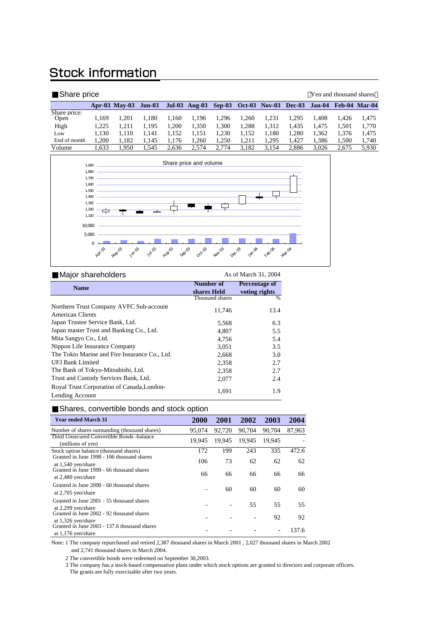# **Stock information**

| Share price          |       |                      |          |          |       |       |       |                                    |       | Yen and thousand shares |       |                      |
|----------------------|-------|----------------------|----------|----------|-------|-------|-------|------------------------------------|-------|-------------------------|-------|----------------------|
|                      |       | <b>Apr-03 May-03</b> | $Jun-03$ | $Jul-03$ |       |       |       | Aug-03 Sep-03 Oct-03 Nov-03 Dec-03 |       | Jan-04                  |       | <b>Feb-04 Mar-04</b> |
| Share price:<br>Open | 1.169 | 1.201                | l.180    | 1.160    | 1.196 | 1.296 | .260  | 1.231                              | 1.295 | 1.408                   | 1.426 | 1.475                |
| High                 | 1.225 | 1.211                | 1.195    | 1.200    | 1.350 | 1.300 | 1.288 | 1.312                              | 1,435 | 1.475                   | 1.501 | 1.770                |
| Low                  | 1.130 | 1.110                | 1.141    | 1.152    | 1.151 | 1.230 | 1.152 | 1.180                              | 1.280 | 1.362                   | 1.376 | 1.475                |
| End of month         | 1.200 | 1.182                | 1.145    | 1.176    | .260  | 1.250 | 1.211 | 1.295                              | .427  | 1.386                   | 1.500 | 1,740                |
| Volume               | .633  | 1.950                | .545     | 2.636    | 2.574 | 2.774 | 3.182 | 3.154                              | 2.886 | 3.026                   | 2.675 | 5.930                |



| Major shareholders                                            |                 | As of March 31, 2004 |
|---------------------------------------------------------------|-----------------|----------------------|
| <b>Name</b>                                                   | Number of       | Percentage of        |
|                                                               | shares Held     | voting rights        |
|                                                               | Thousand shares | %                    |
| Northern Trust Company AVFC Sub-account                       | 11,746          | 13.4                 |
| American Clients                                              |                 |                      |
| Japan Trustee Service Bank, Ltd.                              | 5,568           | 6.3                  |
| Japan master Trust and Banking Co., Ltd.                      | 4.807           | 5.5                  |
| Mita Sangyo Co., Ltd.                                         | 4,756           | 5.4                  |
| Nippon Life Insurance Company                                 | 3.051           | 3.5                  |
| The Tokio Marine and Fire Insurance Co., Ltd.                 | 2,668           | 3.0                  |
| <b>UFJ Bank Limited</b>                                       | 2,358           | 2.7                  |
| The Bank of Tokyo-Mitsubishi, Ltd.                            | 2,358           | 2.7                  |
| Trust and Custody Services Bank, Ltd.                         | 2,077           | 2.4                  |
| Royal Trust Corporation of Canada, London-<br>Lending Account | 1,691           | 1.9                  |

Shares, convertible bonds and stock option

| <b>Year ended March 31</b>                                                               | <b>2000</b> | 2001   | 2002   | 2003   | 2004   |
|------------------------------------------------------------------------------------------|-------------|--------|--------|--------|--------|
| Number of shares outstanding (thousand shares)                                           | 95,074      | 92,720 | 90,704 | 90,704 | 87,963 |
| Third Unsecured Convertible Bonds -balance<br>(millions of yen)                          | 19.945      | 19.945 | 19.945 | 19.945 |        |
| Stock option balance (thousand shares)                                                   | 172         | 199    | 243    | 335    | 472.6  |
| Granted in June 1998 - 106 thousand shares<br>at 1,540 yen/share                         | 106         | 73     | 62     | 62     | 62     |
| Granted in June 1999 - 66 thousand shares<br>at 2,480 yen/share                          | 66          | 66     | 66     | 66     | 66     |
| Granted in June 2000 - 60 thousand shares<br>at $2,705$ yen/share                        |             | 60     | 60     | 60     | 60     |
| Granted in June 2001 - 55 thousand shares<br>at 2,299 yen/share                          |             |        | 55     | 55     | 55     |
| Granted in June 2002 - 92 thousand shares                                                |             |        |        | 92     | 92     |
| at 1,326 yen/share<br>Granted in June 2003 - 137.6 thousand shares<br>at 1,176 yen/share |             |        |        |        | 137.6  |

Note: 1 The company repurchased and retired 2,387 thousand shares in March 2001 , 2,027 thousand shares in March 2002 and 2,741 thousand shares in March 2004.

2 The convertible bonds were redeemed on September 30,2003.

3 The company has a stock-based compensation plans under which stock options are granted to directors and corporate officers.

The grants are fully exercisable after two years.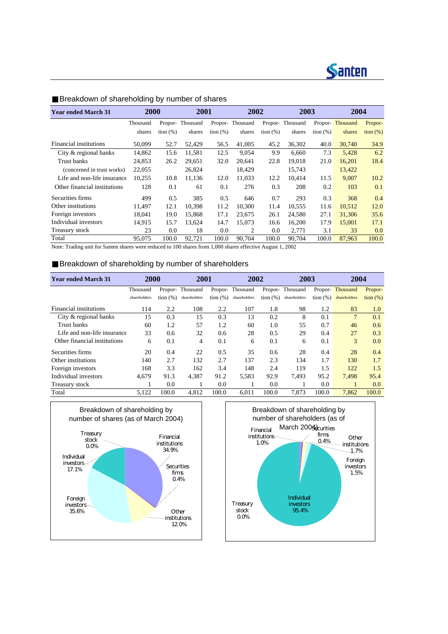| <b>Year ended March 31</b>   | 2000     |                   | 2001     |             | 2002            |                   | 2003     |          | 2004     |                   |
|------------------------------|----------|-------------------|----------|-------------|-----------------|-------------------|----------|----------|----------|-------------------|
|                              | Thousand | Propor-           | Thousand |             | Propor-Thousand | Propor-           | Thousand | Propor-  | Thousand | Propor-           |
|                              | shares   | $\frac{1}{2}$ (%) | shares   | tion $(\%)$ | shares          | $\frac{1}{2}$ (%) | shares   | tion (%) | shares   | $\frac{1}{2}$ (%) |
| Financial institutions       | 50,099   | 52.7              | 52,429   | 56.5        | 41,005          | 45.2              | 36,302   | 40.0     | 30,740   | 34.9              |
| City & regional banks        | 14,862   | 15.6              | 11,581   | 12.5        | 9,054           | 9.9               | 6,660    | 7.3      | 5,428    | 6.2               |
| Trust banks                  | 24,853   | 26.2              | 29.651   | 32.0        | 20.641          | 22.8              | 19.018   | 21.0     | 16,201   | 18.4              |
| (concerned in trust works)   | 22,055   |                   | 26,824   |             | 18,429          |                   | 15,743   |          | 13,422   |                   |
| Life and non-life insurance  | 10,255   | 10.8              | 11,136   | 12.0        | 11,033          | 12.2              | 10.414   | 11.5     | 9.007    | 10.2              |
| Other financial institutions | 128      | 0.1               | 61       | 0.1         | 276             | 0.3               | 208      | 0.2      | 103      | 0.1               |
| Securities firms             | 499      | 0.5               | 385      | 0.5         | 646             | 0.7               | 293      | 0.3      | 368      | 0.4               |
| Other institutions           | 11.497   | 12.1              | 10.398   | 11.2        | 10.300          | 11.4              | 10.555   | 11.6     | 10,512   | 12.0              |
| Foreign investors            | 18.041   | 19.0              | 15.868   | 17.1        | 23.675          | 26.1              | 24,580   | 27.1     | 31,306   | 35.6              |
| Individual investors         | 14,915   | 15.7              | 13.624   | 14.7        | 15.073          | 16.6              | 16,200   | 17.9     | 15,001   | 17.1              |
| Treasury stock               | 23       | 0.0               | 18       | 0.0         | 2               | 0.0               | 2,771    | 3.1      | 33       | 0.0               |
| Total                        | 95,075   | 100.0             | 92.721   | 100.0       | 90.704          | 100.0             | 90.704   | 100.0    | 87,963   | 100.0             |

### Breakdown of shareholding by number of shares

Note: Trading unit for Santen shares were reduced to 100 shares from 1,000 shares effective August 1, 2002

#### Breakdown of shareholding by number of shareholders

| <b>Year ended March 31</b>   | 2000         |                   | 2001         |             | 2002            |             | 2003            |             | 2004            |             |
|------------------------------|--------------|-------------------|--------------|-------------|-----------------|-------------|-----------------|-------------|-----------------|-------------|
|                              | Thousand     | Propor-           | Thousand     |             | Propor-Thousand |             | Propor-Thousand |             | Propor-Thousand | Propor-     |
|                              | shareholders | $\frac{1}{2}$ (%) | shareholders | tion $(\%)$ | shareholders    | tion $(\%)$ | shareholders    | tion $(\%)$ | shareholders    | tion $(\%)$ |
| Financial institutions       | 114          | 2.2               | 108          | 2.2         | 107             | 1.8         | 98              | 1.2         | 83              | 1.0         |
| City & regional banks        | 15           | 0.3               | 15           | 0.3         | 13              | 0.2         | 8               | 0.1         | 7               | 0.1         |
| Trust banks                  | 60           | 1.2               | 57           | 1.2         | 60              | 1.0         | 55              | 0.7         | 46              | 0.6         |
| Life and non-life insurance  | 33           | 0.6               | 32           | 0.6         | 28              | 0.5         | 29              | 0.4         | 27              | 0.3         |
| Other financial institutions | 6            | 0.1               | 4            | 0.1         | 6               | 0.1         | 6               | 0.1         | 3               | 0.0         |
| Securities firms             | 20           | 0.4               | 22           | 0.5         | 35              | 0.6         | 28              | 0.4         | 28              | 0.4         |
| Other institutions           | 140          | 2.7               | 132          | 2.7         | 137             | 2.3         | 134             | 1.7         | 130             | 1.7         |
| Foreign investors            | 168          | 3.3               | 162          | 3.4         | 148             | 2.4         | 119             | 1.5         | 122             | 1.5         |
| Individual investors         | 4,679        | 91.3              | 4,387        | 91.2        | 5,583           | 92.9        | 7.493           | 95.2        | 7.498           | 95.4        |
| Treasury stock               |              | 0.0               |              | 0.0         |                 | 0.0         |                 | 0.0         | 1               | 0.0         |
| Total                        | 5,122        | 100.0             | 4.812        | 100.0       | 6.011           | 100.0       | 7.873           | 100.0       | 7.862           | 100.0       |



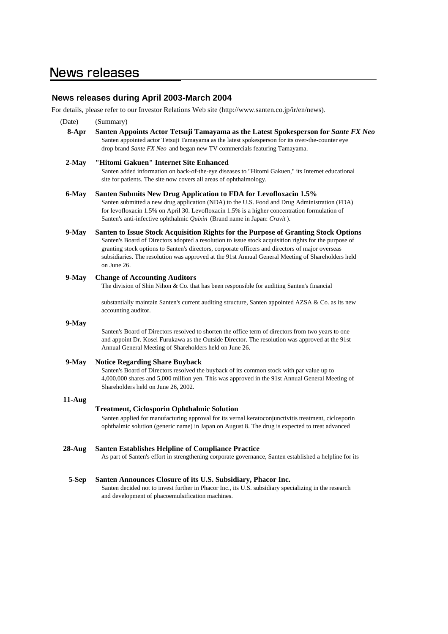## **News releases during April 2003-March 2004**

For details, please refer to our Investor Relations Web site (http://www.santen.co.jp/ir/en/news).

| (Date)    | (Summary)                                                                                                                                                                                                                                                                                                                                                                                                           |
|-----------|---------------------------------------------------------------------------------------------------------------------------------------------------------------------------------------------------------------------------------------------------------------------------------------------------------------------------------------------------------------------------------------------------------------------|
| 8-Apr     | Santen Appoints Actor Tetsuji Tamayama as the Latest Spokesperson for Sante FX Neo<br>Santen appointed actor Tetsuji Tamayama as the latest spokesperson for its over-the-counter eye<br>drop brand Sante FX Neo and began new TV commercials featuring Tamayama.                                                                                                                                                   |
| 2-May     | "Hitomi Gakuen" Internet Site Enhanced<br>Santen added information on back-of-the-eye diseases to "Hitomi Gakuen," its Internet educational<br>site for patients. The site now covers all areas of ophthalmology.                                                                                                                                                                                                   |
| 6-May     | Santen Submits New Drug Application to FDA for Levofloxacin 1.5%<br>Santen submitted a new drug application (NDA) to the U.S. Food and Drug Administration (FDA)<br>for levofloxacin 1.5% on April 30. Levofloxacin 1.5% is a higher concentration formulation of<br>Santen's anti-infective ophthalmic Quixin (Brand name in Japan: Cravit).                                                                       |
| 9-May     | Santen to Issue Stock Acquisition Rights for the Purpose of Granting Stock Options<br>Santen's Board of Directors adopted a resolution to issue stock acquisition rights for the purpose of<br>granting stock options to Santen's directors, corporate officers and directors of major overseas<br>subsidiaries. The resolution was approved at the 91st Annual General Meeting of Shareholders held<br>on June 26. |
| 9-May     | <b>Change of Accounting Auditors</b><br>The division of Shin Nihon & Co. that has been responsible for auditing Santen's financial                                                                                                                                                                                                                                                                                  |
|           | substantially maintain Santen's current auditing structure, Santen appointed AZSA & Co. as its new<br>accounting auditor.                                                                                                                                                                                                                                                                                           |
| 9-May     | Santen's Board of Directors resolved to shorten the office term of directors from two years to one<br>and appoint Dr. Kosei Furukawa as the Outside Director. The resolution was approved at the 91st<br>Annual General Meeting of Shareholders held on June 26.                                                                                                                                                    |
| $9$ -May  | <b>Notice Regarding Share Buyback</b><br>Santen's Board of Directors resolved the buyback of its common stock with par value up to<br>4,000,000 shares and 5,000 million yen. This was approved in the 91st Annual General Meeting of<br>Shareholders held on June 26, 2002.                                                                                                                                        |
| 11-Aug    |                                                                                                                                                                                                                                                                                                                                                                                                                     |
|           | <b>Treatment, Ciclosporin Ophthalmic Solution</b><br>Santen applied for manufacturing approval for its vernal keratoconjunctivitis treatment, ciclosporin<br>ophthalmic solution (generic name) in Japan on August 8. The drug is expected to treat advanced                                                                                                                                                        |
| $28$ -Aug | <b>Santen Establishes Helpline of Compliance Practice</b><br>As part of Santen's effort in strengthening corporate governance, Santen established a helpline for its                                                                                                                                                                                                                                                |
| 5-Sep     | Santen Announces Closure of its U.S. Subsidiary, Phacor Inc.<br>Santen decided not to invest further in Phacor Inc., its U.S. subsidiary specializing in the research<br>and development of phacoemulsification machines.                                                                                                                                                                                           |